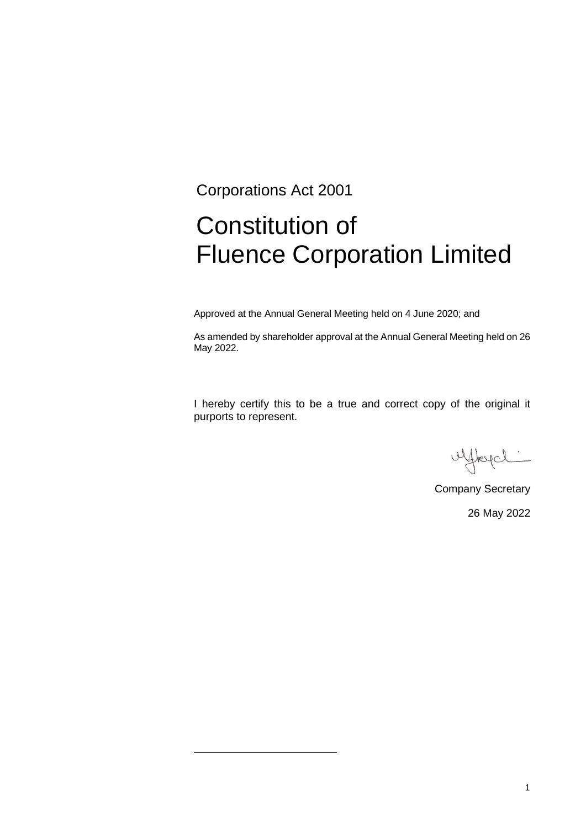Corporations Act 2001

# Constitution of Fluence Corporation Limited

Approved at the Annual General Meeting held on 4 June 2020; and

As amended by shareholder approval at the Annual General Meeting held on 26 May 2022.

I hereby certify this to be a true and correct copy of the original it purports to represent.

uffregal

Company Secretary 26 May 2022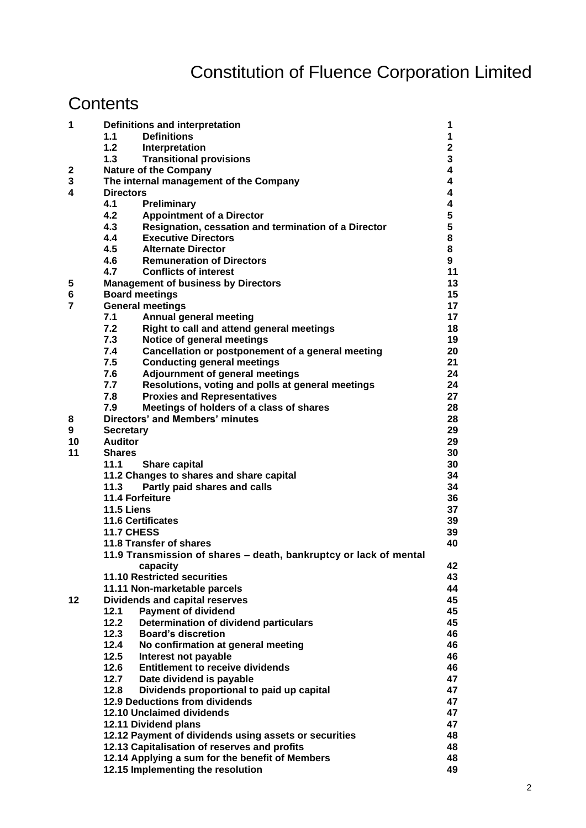# Constitution of Fluence Corporation Limited

# **Contents**

| 1              | Definitions and interpretation                        |                                                                   |             |  |
|----------------|-------------------------------------------------------|-------------------------------------------------------------------|-------------|--|
|                | 1.1                                                   | <b>Definitions</b>                                                | 1           |  |
|                | 1.2                                                   | Interpretation                                                    | $\mathbf 2$ |  |
|                | 1.3                                                   | <b>Transitional provisions</b>                                    | 3           |  |
| $\mathbf{2}$   |                                                       | <b>Nature of the Company</b>                                      | 4           |  |
| 3              |                                                       | 4<br>The internal management of the Company                       |             |  |
| 4              | <b>Directors</b>                                      |                                                                   |             |  |
|                | 4.1                                                   | Preliminary                                                       | 4           |  |
|                | 4.2                                                   | <b>Appointment of a Director</b>                                  | 5           |  |
|                | 4.3                                                   | Resignation, cessation and termination of a Director              | 5           |  |
|                | 4.4                                                   | <b>Executive Directors</b>                                        | 8           |  |
|                | 4.5                                                   | <b>Alternate Director</b>                                         | 8           |  |
|                | 4.6                                                   | <b>Remuneration of Directors</b>                                  | 9           |  |
|                | 4.7                                                   | <b>Conflicts of interest</b>                                      | 11          |  |
| 5              |                                                       | <b>Management of business by Directors</b>                        | 13          |  |
| 6              | <b>Board meetings</b>                                 |                                                                   |             |  |
| $\overline{7}$ |                                                       | <b>General meetings</b>                                           | 17          |  |
|                | 7.1                                                   | <b>Annual general meeting</b>                                     | 17          |  |
|                | 7.2                                                   | Right to call and attend general meetings                         | 18          |  |
|                | 7.3                                                   | Notice of general meetings                                        | 19          |  |
|                | 7.4                                                   | Cancellation or postponement of a general meeting                 | 20          |  |
|                | 7.5                                                   | <b>Conducting general meetings</b>                                | 21          |  |
|                | 7.6                                                   | Adjournment of general meetings                                   | 24          |  |
|                | 7.7                                                   | Resolutions, voting and polls at general meetings                 | 24          |  |
|                | 7.8                                                   | <b>Proxies and Representatives</b>                                | 27          |  |
|                | 7.9                                                   | Meetings of holders of a class of shares                          | 28          |  |
| 8              |                                                       | <b>Directors' and Members' minutes</b>                            | 28          |  |
| 9              | <b>Secretary</b>                                      |                                                                   | 29          |  |
| 10             | <b>Auditor</b>                                        |                                                                   | 29          |  |
| 11             | <b>Shares</b>                                         |                                                                   | 30          |  |
|                | 11.1                                                  | Share capital                                                     | 30          |  |
|                |                                                       | 11.2 Changes to shares and share capital                          | 34          |  |
|                | 11.3<br>Partly paid shares and calls                  |                                                                   |             |  |
|                | 11.4 Forfeiture                                       |                                                                   |             |  |
|                | <b>11.5 Liens</b>                                     |                                                                   |             |  |
|                | <b>11.6 Certificates</b>                              |                                                                   |             |  |
|                | <b>11.7 CHESS</b>                                     |                                                                   |             |  |
|                | 11.8 Transfer of shares                               |                                                                   |             |  |
|                |                                                       | 11.9 Transmission of shares - death, bankruptcy or lack of mental |             |  |
|                |                                                       | capacity                                                          | 42          |  |
|                |                                                       | 11.10 Restricted securities                                       | 43          |  |
|                |                                                       | 11.11 Non-marketable parcels                                      | 44          |  |
| 12             |                                                       | <b>Dividends and capital reserves</b>                             | 45          |  |
|                | 12.1                                                  | <b>Payment of dividend</b>                                        | 45          |  |
|                | 12.2                                                  | Determination of dividend particulars                             | 45          |  |
|                | 12.3                                                  | <b>Board's discretion</b>                                         | 46          |  |
|                | 12.4                                                  | No confirmation at general meeting                                | 46          |  |
|                | $12.5$                                                | Interest not payable                                              | 46          |  |
|                | 12.6                                                  | <b>Entitlement to receive dividends</b>                           | 46          |  |
|                | 12.7                                                  | Date dividend is payable                                          | 47          |  |
|                | 12.8                                                  | Dividends proportional to paid up capital                         | 47<br>47    |  |
|                | <b>12.9 Deductions from dividends</b>                 |                                                                   |             |  |
|                | 12.10 Unclaimed dividends                             |                                                                   |             |  |
|                | 12.11 Dividend plans                                  |                                                                   |             |  |
|                | 12.12 Payment of dividends using assets or securities |                                                                   |             |  |
|                | 12.13 Capitalisation of reserves and profits          |                                                                   |             |  |
|                | 12.14 Applying a sum for the benefit of Members       |                                                                   |             |  |
|                | 12.15 Implementing the resolution                     |                                                                   |             |  |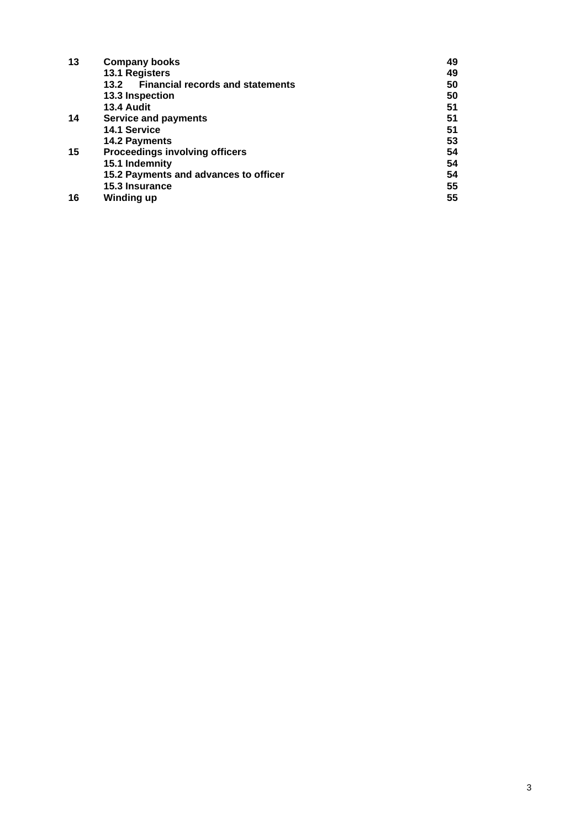| 13 | <b>Company books</b>                            | 49 |
|----|-------------------------------------------------|----|
|    | 13.1 Registers                                  | 49 |
|    | <b>Financial records and statements</b><br>13.2 | 50 |
|    | 13.3 Inspection                                 | 50 |
|    | 13.4 Audit                                      | 51 |
| 14 | Service and payments                            | 51 |
|    | 14.1 Service                                    | 51 |
|    | 14.2 Payments                                   | 53 |
| 15 | <b>Proceedings involving officers</b>           | 54 |
|    | 15.1 Indemnity                                  | 54 |
|    | 15.2 Payments and advances to officer           | 54 |
|    | 15.3 Insurance                                  | 55 |
| 16 | <b>Winding up</b>                               | 55 |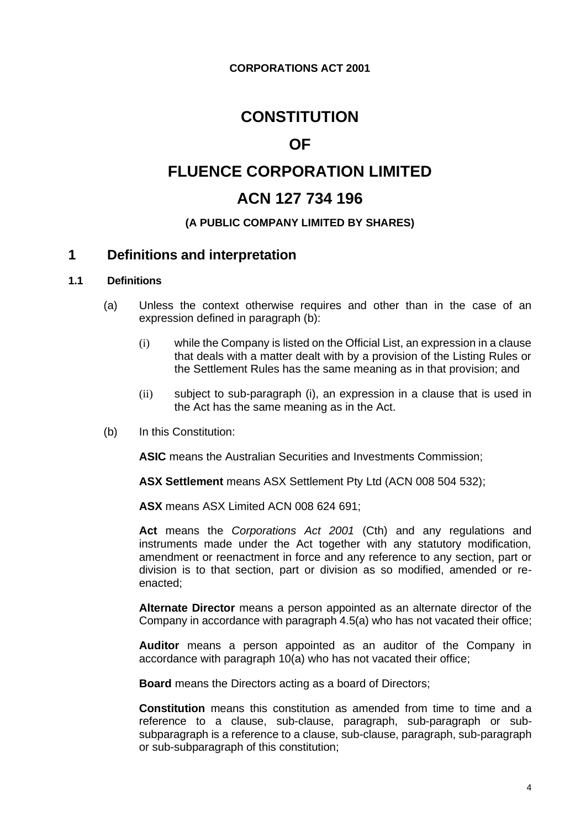# **CONSTITUTION**

# **OF**

# **FLUENCE CORPORATION LIMITED**

# **ACN 127 734 196**

# **(A PUBLIC COMPANY LIMITED BY SHARES)**

# **1 Definitions and interpretation**

#### **1.1 Definitions**

- (a) Unless the context otherwise requires and other than in the case of an expression defined in paragraph (b):
	- (i) while the Company is listed on the Official List, an expression in a clause that deals with a matter dealt with by a provision of the Listing Rules or the Settlement Rules has the same meaning as in that provision; and
	- (ii) subject to sub-paragraph (i), an expression in a clause that is used in the Act has the same meaning as in the Act.
- (b) In this Constitution:

**ASIC** means the Australian Securities and Investments Commission;

**ASX Settlement** means ASX Settlement Pty Ltd (ACN 008 504 532);

**ASX** means ASX Limited ACN 008 624 691;

**Act** means the *Corporations Act 2001* (Cth) and any regulations and instruments made under the Act together with any statutory modification, amendment or reenactment in force and any reference to any section, part or division is to that section, part or division as so modified, amended or reenacted;

**Alternate Director** means a person appointed as an alternate director of the Company in accordance with paragraph 4.5(a) who has not vacated their office;

**Auditor** means a person appointed as an auditor of the Company in accordance with paragraph 10(a) who has not vacated their office;

**Board** means the Directors acting as a board of Directors;

**Constitution** means this constitution as amended from time to time and a reference to a clause, sub-clause, paragraph, sub-paragraph or subsubparagraph is a reference to a clause, sub-clause, paragraph, sub-paragraph or sub-subparagraph of this constitution;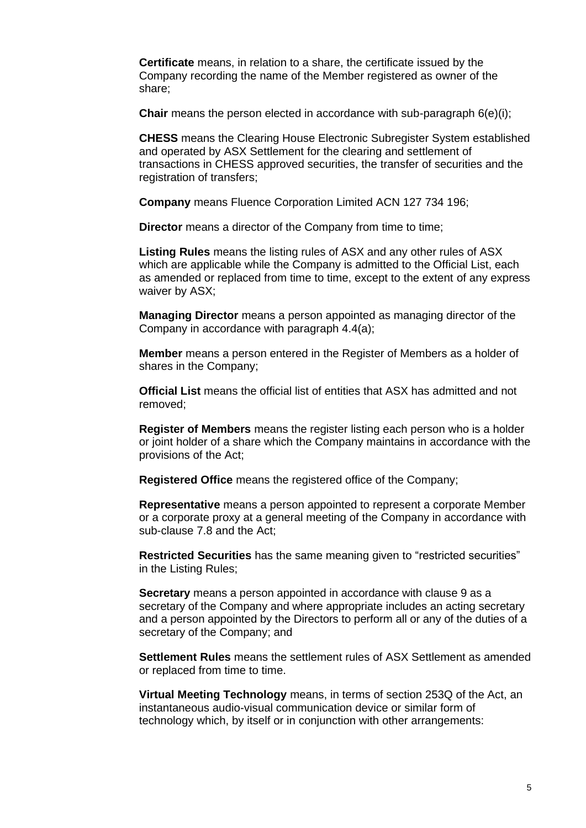**Certificate** means, in relation to a share, the certificate issued by the Company recording the name of the Member registered as owner of the share;

**Chair** means the person elected in accordance with sub-paragraph 6(e)(i);

**CHESS** means the Clearing House Electronic Subregister System established and operated by ASX Settlement for the clearing and settlement of transactions in CHESS approved securities, the transfer of securities and the registration of transfers;

**Company** means Fluence Corporation Limited ACN 127 734 196;

**Director** means a director of the Company from time to time;

**Listing Rules** means the listing rules of ASX and any other rules of ASX which are applicable while the Company is admitted to the Official List, each as amended or replaced from time to time, except to the extent of any express waiver by ASX;

**Managing Director** means a person appointed as managing director of the Company in accordance with paragraph 4.4(a);

**Member** means a person entered in the Register of Members as a holder of shares in the Company;

**Official List** means the official list of entities that ASX has admitted and not removed;

**Register of Members** means the register listing each person who is a holder or joint holder of a share which the Company maintains in accordance with the provisions of the Act;

**Registered Office** means the registered office of the Company;

**Representative** means a person appointed to represent a corporate Member or a corporate proxy at a general meeting of the Company in accordance with sub-clause 7.8 and the Act;

**Restricted Securities** has the same meaning given to "restricted securities" in the Listing Rules;

**Secretary** means a person appointed in accordance with clause 9 as a secretary of the Company and where appropriate includes an acting secretary and a person appointed by the Directors to perform all or any of the duties of a secretary of the Company; and

**Settlement Rules** means the settlement rules of ASX Settlement as amended or replaced from time to time.

**Virtual Meeting Technology** means, in terms of section 253Q of the Act, an instantaneous audio-visual communication device or similar form of technology which, by itself or in conjunction with other arrangements: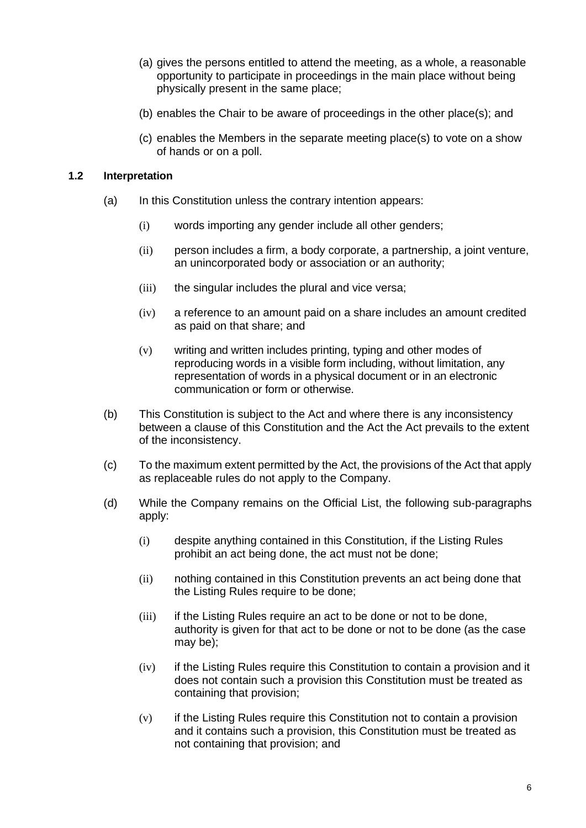- (a) gives the persons entitled to attend the meeting, as a whole, a reasonable opportunity to participate in proceedings in the main place without being physically present in the same place;
- (b) enables the Chair to be aware of proceedings in the other place(s); and
- (c) enables the Members in the separate meeting place(s) to vote on a show of hands or on a poll.

# **1.2 Interpretation**

- (a) In this Constitution unless the contrary intention appears:
	- (i) words importing any gender include all other genders;
	- (ii) person includes a firm, a body corporate, a partnership, a joint venture, an unincorporated body or association or an authority;
	- (iii) the singular includes the plural and vice versa;
	- (iv) a reference to an amount paid on a share includes an amount credited as paid on that share; and
	- (v) writing and written includes printing, typing and other modes of reproducing words in a visible form including, without limitation, any representation of words in a physical document or in an electronic communication or form or otherwise.
- (b) This Constitution is subject to the Act and where there is any inconsistency between a clause of this Constitution and the Act the Act prevails to the extent of the inconsistency.
- (c) To the maximum extent permitted by the Act, the provisions of the Act that apply as replaceable rules do not apply to the Company.
- (d) While the Company remains on the Official List, the following sub-paragraphs apply:
	- (i) despite anything contained in this Constitution, if the Listing Rules prohibit an act being done, the act must not be done;
	- (ii) nothing contained in this Constitution prevents an act being done that the Listing Rules require to be done;
	- (iii) if the Listing Rules require an act to be done or not to be done, authority is given for that act to be done or not to be done (as the case may be);
	- (iv) if the Listing Rules require this Constitution to contain a provision and it does not contain such a provision this Constitution must be treated as containing that provision;
	- (v) if the Listing Rules require this Constitution not to contain a provision and it contains such a provision, this Constitution must be treated as not containing that provision; and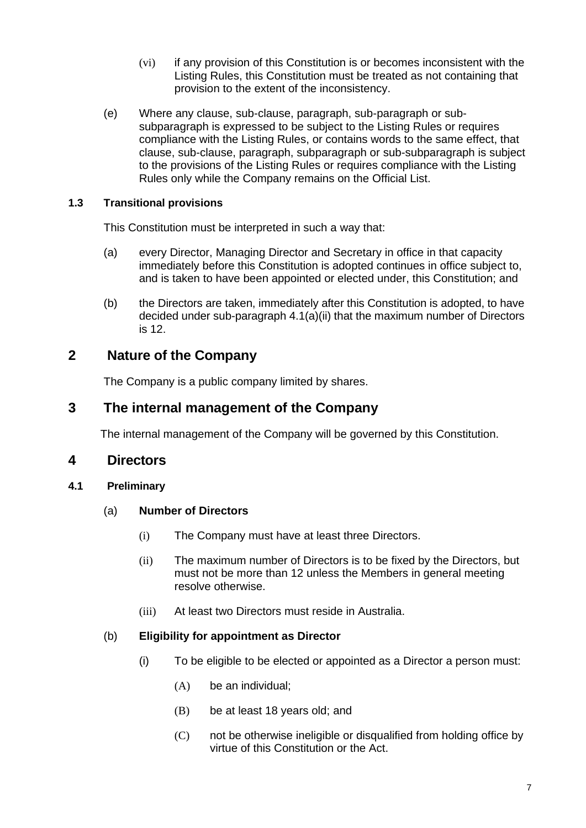- (vi) if any provision of this Constitution is or becomes inconsistent with the Listing Rules, this Constitution must be treated as not containing that provision to the extent of the inconsistency.
- (e) Where any clause, sub-clause, paragraph, sub-paragraph or subsubparagraph is expressed to be subject to the Listing Rules or requires compliance with the Listing Rules, or contains words to the same effect, that clause, sub-clause, paragraph, subparagraph or sub-subparagraph is subject to the provisions of the Listing Rules or requires compliance with the Listing Rules only while the Company remains on the Official List.

# **1.3 Transitional provisions**

This Constitution must be interpreted in such a way that:

- (a) every Director, Managing Director and Secretary in office in that capacity immediately before this Constitution is adopted continues in office subject to, and is taken to have been appointed or elected under, this Constitution; and
- (b) the Directors are taken, immediately after this Constitution is adopted, to have decided under sub-paragraph 4.1(a)(ii) that the maximum number of Directors is 12.

# **2 Nature of the Company**

The Company is a public company limited by shares.

# **3 The internal management of the Company**

The internal management of the Company will be governed by this Constitution.

# **4 Directors**

# **4.1 Preliminary**

# (a) **Number of Directors**

- (i) The Company must have at least three Directors.
- (ii) The maximum number of Directors is to be fixed by the Directors, but must not be more than 12 unless the Members in general meeting resolve otherwise.
- (iii) At least two Directors must reside in Australia.

# (b) **Eligibility for appointment as Director**

- (i) To be eligible to be elected or appointed as a Director a person must:
	- (A) be an individual;
	- (B) be at least 18 years old; and
	- (C) not be otherwise ineligible or disqualified from holding office by virtue of this Constitution or the Act.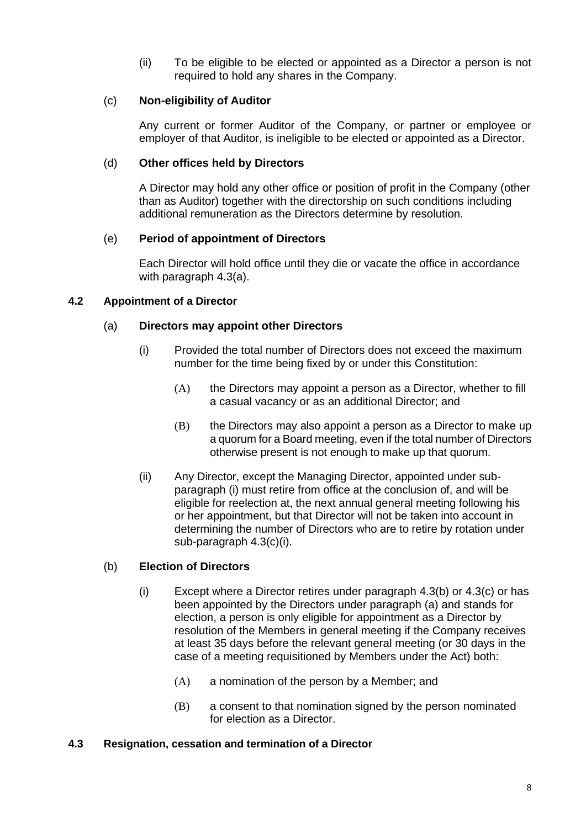(ii) To be eligible to be elected or appointed as a Director a person is not required to hold any shares in the Company.

# (c) **Non-eligibility of Auditor**

Any current or former Auditor of the Company, or partner or employee or employer of that Auditor, is ineligible to be elected or appointed as a Director.

#### (d) **Other offices held by Directors**

A Director may hold any other office or position of profit in the Company (other than as Auditor) together with the directorship on such conditions including additional remuneration as the Directors determine by resolution.

# (e) **Period of appointment of Directors**

Each Director will hold office until they die or vacate the office in accordance with paragraph 4.3(a).

# **4.2 Appointment of a Director**

# (a) **Directors may appoint other Directors**

- (i) Provided the total number of Directors does not exceed the maximum number for the time being fixed by or under this Constitution:
	- (A) the Directors may appoint a person as a Director, whether to fill a casual vacancy or as an additional Director; and
	- (B) the Directors may also appoint a person as a Director to make up a quorum for a Board meeting, even if the total number of Directors otherwise present is not enough to make up that quorum.
- (ii) Any Director, except the Managing Director, appointed under subparagraph (i) must retire from office at the conclusion of, and will be eligible for reelection at, the next annual general meeting following his or her appointment, but that Director will not be taken into account in determining the number of Directors who are to retire by rotation under sub-paragraph 4.3(c)(i).

#### (b) **Election of Directors**

- (i) Except where a Director retires under paragraph 4.3(b) or 4.3(c) or has been appointed by the Directors under paragraph (a) and stands for election, a person is only eligible for appointment as a Director by resolution of the Members in general meeting if the Company receives at least 35 days before the relevant general meeting (or 30 days in the case of a meeting requisitioned by Members under the Act) both:
	- $(A)$  a nomination of the person by a Member; and
	- (B) a consent to that nomination signed by the person nominated for election as a Director.

#### **4.3 Resignation, cessation and termination of a Director**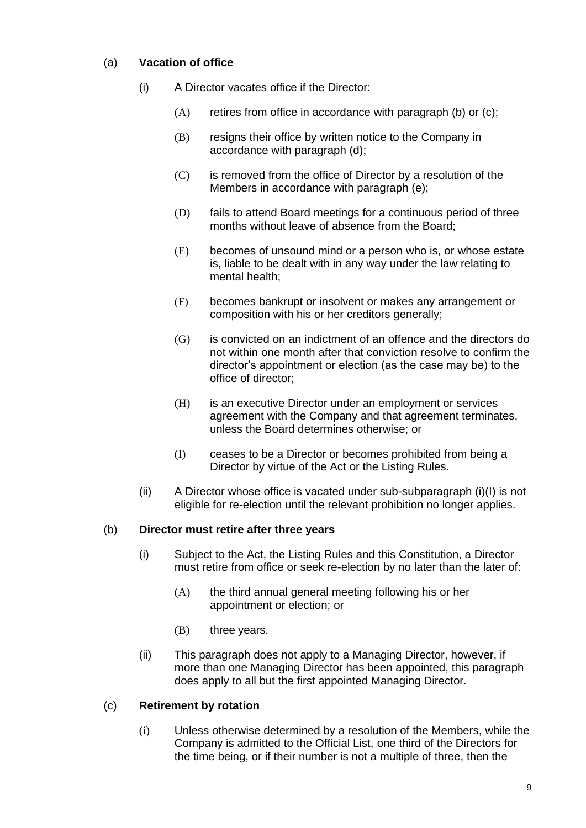# (a) **Vacation of office**

- (i) A Director vacates office if the Director:
	- (A) retires from office in accordance with paragraph (b) or (c);
	- (B) resigns their office by written notice to the Company in accordance with paragraph (d);
	- (C) is removed from the office of Director by a resolution of the Members in accordance with paragraph (e);
	- (D) fails to attend Board meetings for a continuous period of three months without leave of absence from the Board;
	- (E) becomes of unsound mind or a person who is, or whose estate is, liable to be dealt with in any way under the law relating to mental health;
	- (F) becomes bankrupt or insolvent or makes any arrangement or composition with his or her creditors generally;
	- (G) is convicted on an indictment of an offence and the directors do not within one month after that conviction resolve to confirm the director's appointment or election (as the case may be) to the office of director;
	- (H) is an executive Director under an employment or services agreement with the Company and that agreement terminates, unless the Board determines otherwise; or
	- (I) ceases to be a Director or becomes prohibited from being a Director by virtue of the Act or the Listing Rules.
- (ii) A Director whose office is vacated under sub-subparagraph (i)(I) is not eligible for re-election until the relevant prohibition no longer applies.

# (b) **Director must retire after three years**

- (i) Subject to the Act, the Listing Rules and this Constitution, a Director must retire from office or seek re-election by no later than the later of:
	- (A) the third annual general meeting following his or her appointment or election; or
	- (B) three years.
- (ii) This paragraph does not apply to a Managing Director, however, if more than one Managing Director has been appointed, this paragraph does apply to all but the first appointed Managing Director.

# (c) **Retirement by rotation**

(i) Unless otherwise determined by a resolution of the Members, while the Company is admitted to the Official List, one third of the Directors for the time being, or if their number is not a multiple of three, then the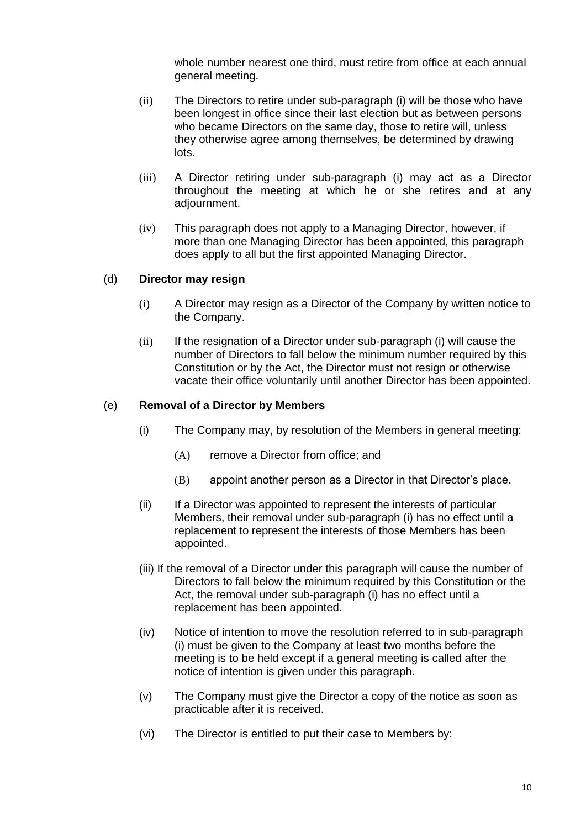whole number nearest one third, must retire from office at each annual general meeting.

- (ii) The Directors to retire under sub-paragraph (i) will be those who have been longest in office since their last election but as between persons who became Directors on the same day, those to retire will, unless they otherwise agree among themselves, be determined by drawing lots.
- (iii) A Director retiring under sub-paragraph (i) may act as a Director throughout the meeting at which he or she retires and at any adjournment.
- (iv) This paragraph does not apply to a Managing Director, however, if more than one Managing Director has been appointed, this paragraph does apply to all but the first appointed Managing Director.

# (d) **Director may resign**

- (i) A Director may resign as a Director of the Company by written notice to the Company.
- (ii) If the resignation of a Director under sub-paragraph (i) will cause the number of Directors to fall below the minimum number required by this Constitution or by the Act, the Director must not resign or otherwise vacate their office voluntarily until another Director has been appointed.

# (e) **Removal of a Director by Members**

- (i) The Company may, by resolution of the Members in general meeting:
	- (A) remove a Director from office; and
	- (B) appoint another person as a Director in that Director's place.
- (ii) If a Director was appointed to represent the interests of particular Members, their removal under sub-paragraph (i) has no effect until a replacement to represent the interests of those Members has been appointed.
- (iii) If the removal of a Director under this paragraph will cause the number of Directors to fall below the minimum required by this Constitution or the Act, the removal under sub-paragraph (i) has no effect until a replacement has been appointed.
- (iv) Notice of intention to move the resolution referred to in sub-paragraph (i) must be given to the Company at least two months before the meeting is to be held except if a general meeting is called after the notice of intention is given under this paragraph.
- (v) The Company must give the Director a copy of the notice as soon as practicable after it is received.
- (vi) The Director is entitled to put their case to Members by: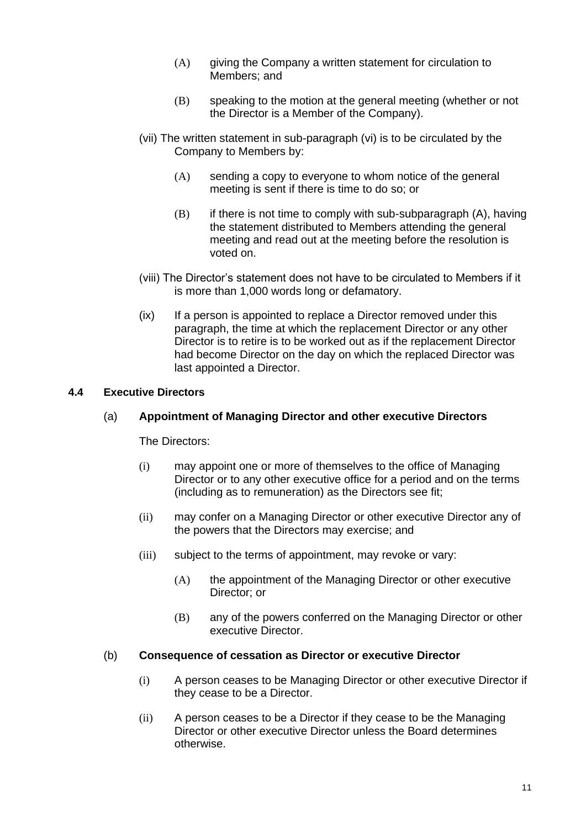- $(A)$  giving the Company a written statement for circulation to Members; and
- (B) speaking to the motion at the general meeting (whether or not the Director is a Member of the Company).
- (vii) The written statement in sub-paragraph (vi) is to be circulated by the Company to Members by:
	- (A) sending a copy to everyone to whom notice of the general meeting is sent if there is time to do so; or
	- (B) if there is not time to comply with sub-subparagraph (A), having the statement distributed to Members attending the general meeting and read out at the meeting before the resolution is voted on.
- (viii) The Director's statement does not have to be circulated to Members if it is more than 1,000 words long or defamatory.
- (ix) If a person is appointed to replace a Director removed under this paragraph, the time at which the replacement Director or any other Director is to retire is to be worked out as if the replacement Director had become Director on the day on which the replaced Director was last appointed a Director.

# **4.4 Executive Directors**

#### (a) **Appointment of Managing Director and other executive Directors**

The Directors:

- (i) may appoint one or more of themselves to the office of Managing Director or to any other executive office for a period and on the terms (including as to remuneration) as the Directors see fit;
- (ii) may confer on a Managing Director or other executive Director any of the powers that the Directors may exercise; and
- (iii) subject to the terms of appointment, may revoke or vary:
	- (A) the appointment of the Managing Director or other executive Director; or
	- (B) any of the powers conferred on the Managing Director or other executive Director.

#### (b) **Consequence of cessation as Director or executive Director**

- (i) A person ceases to be Managing Director or other executive Director if they cease to be a Director.
- (ii) A person ceases to be a Director if they cease to be the Managing Director or other executive Director unless the Board determines otherwise.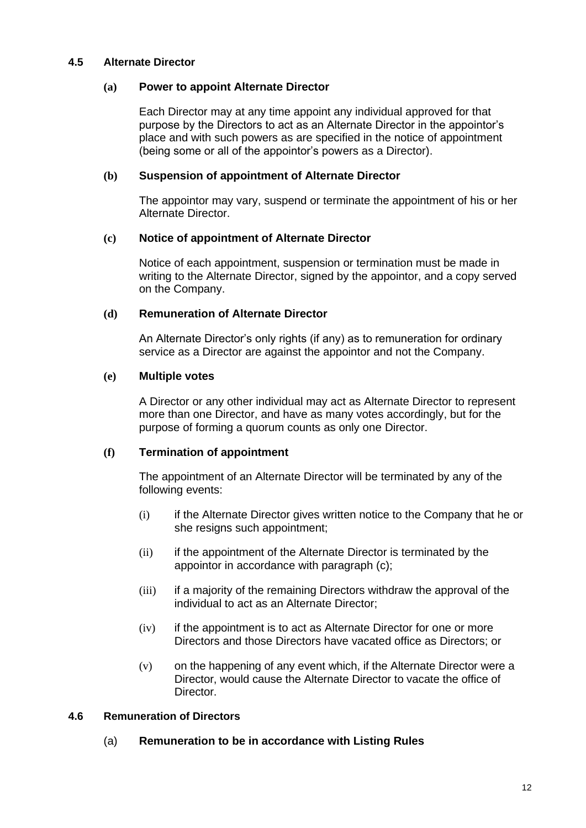#### **4.5 Alternate Director**

#### **(a) Power to appoint Alternate Director**

Each Director may at any time appoint any individual approved for that purpose by the Directors to act as an Alternate Director in the appointor's place and with such powers as are specified in the notice of appointment (being some or all of the appointor's powers as a Director).

# **(b) Suspension of appointment of Alternate Director**

The appointor may vary, suspend or terminate the appointment of his or her Alternate Director.

# **(c) Notice of appointment of Alternate Director**

Notice of each appointment, suspension or termination must be made in writing to the Alternate Director, signed by the appointor, and a copy served on the Company.

# **(d) Remuneration of Alternate Director**

An Alternate Director's only rights (if any) as to remuneration for ordinary service as a Director are against the appointor and not the Company.

# **(e) Multiple votes**

A Director or any other individual may act as Alternate Director to represent more than one Director, and have as many votes accordingly, but for the purpose of forming a quorum counts as only one Director.

# **(f) Termination of appointment**

The appointment of an Alternate Director will be terminated by any of the following events:

- (i) if the Alternate Director gives written notice to the Company that he or she resigns such appointment;
- (ii) if the appointment of the Alternate Director is terminated by the appointor in accordance with paragraph (c);
- (iii) if a majority of the remaining Directors withdraw the approval of the individual to act as an Alternate Director;
- (iv) if the appointment is to act as Alternate Director for one or more Directors and those Directors have vacated office as Directors; or
- (v) on the happening of any event which, if the Alternate Director were a Director, would cause the Alternate Director to vacate the office of Director.

#### **4.6 Remuneration of Directors**

# (a) **Remuneration to be in accordance with Listing Rules**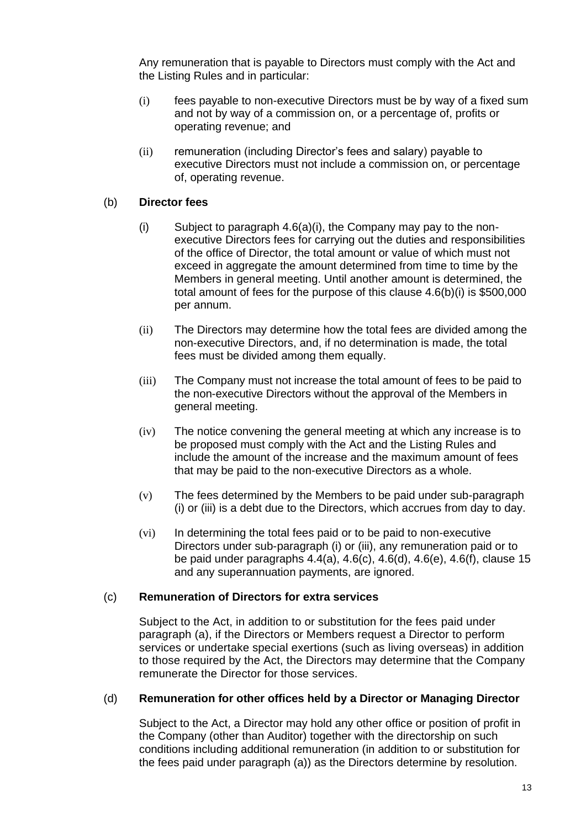Any remuneration that is payable to Directors must comply with the Act and the Listing Rules and in particular:

- (i) fees payable to non-executive Directors must be by way of a fixed sum and not by way of a commission on, or a percentage of, profits or operating revenue; and
- (ii) remuneration (including Director's fees and salary) payable to executive Directors must not include a commission on, or percentage of, operating revenue.

# (b) **Director fees**

- (i) Subject to paragraph 4.6(a)(i), the Company may pay to the nonexecutive Directors fees for carrying out the duties and responsibilities of the office of Director, the total amount or value of which must not exceed in aggregate the amount determined from time to time by the Members in general meeting. Until another amount is determined, the total amount of fees for the purpose of this clause 4.6(b)(i) is \$500,000 per annum.
- (ii) The Directors may determine how the total fees are divided among the non-executive Directors, and, if no determination is made, the total fees must be divided among them equally.
- (iii) The Company must not increase the total amount of fees to be paid to the non-executive Directors without the approval of the Members in general meeting.
- (iv) The notice convening the general meeting at which any increase is to be proposed must comply with the Act and the Listing Rules and include the amount of the increase and the maximum amount of fees that may be paid to the non-executive Directors as a whole.
- (v) The fees determined by the Members to be paid under sub-paragraph (i) or (iii) is a debt due to the Directors, which accrues from day to day.
- (vi) In determining the total fees paid or to be paid to non-executive Directors under sub-paragraph (i) or (iii), any remuneration paid or to be paid under paragraphs 4.4(a), 4.6(c), 4.6(d), 4.6(e), 4.6(f), clause 15 and any superannuation payments, are ignored.

#### (c) **Remuneration of Directors for extra services**

Subject to the Act, in addition to or substitution for the fees paid under paragraph (a), if the Directors or Members request a Director to perform services or undertake special exertions (such as living overseas) in addition to those required by the Act, the Directors may determine that the Company remunerate the Director for those services.

#### (d) **Remuneration for other offices held by a Director or Managing Director**

Subject to the Act, a Director may hold any other office or position of profit in the Company (other than Auditor) together with the directorship on such conditions including additional remuneration (in addition to or substitution for the fees paid under paragraph (a)) as the Directors determine by resolution.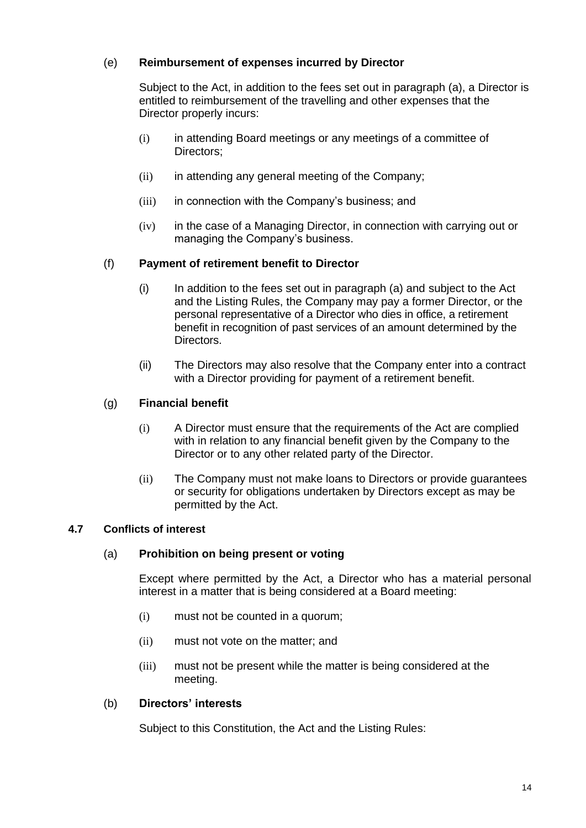# (e) **Reimbursement of expenses incurred by Director**

Subject to the Act, in addition to the fees set out in paragraph (a), a Director is entitled to reimbursement of the travelling and other expenses that the Director properly incurs:

- (i) in attending Board meetings or any meetings of a committee of Directors;
- (ii) in attending any general meeting of the Company;
- (iii) in connection with the Company's business; and
- (iv) in the case of a Managing Director, in connection with carrying out or managing the Company's business.

# (f) **Payment of retirement benefit to Director**

- (i) In addition to the fees set out in paragraph (a) and subject to the Act and the Listing Rules, the Company may pay a former Director, or the personal representative of a Director who dies in office, a retirement benefit in recognition of past services of an amount determined by the Directors.
- (ii) The Directors may also resolve that the Company enter into a contract with a Director providing for payment of a retirement benefit.

# (g) **Financial benefit**

- (i) A Director must ensure that the requirements of the Act are complied with in relation to any financial benefit given by the Company to the Director or to any other related party of the Director.
- (ii) The Company must not make loans to Directors or provide guarantees or security for obligations undertaken by Directors except as may be permitted by the Act.

#### **4.7 Conflicts of interest**

#### (a) **Prohibition on being present or voting**

Except where permitted by the Act, a Director who has a material personal interest in a matter that is being considered at a Board meeting:

- (i) must not be counted in a quorum;
- (ii) must not vote on the matter; and
- (iii) must not be present while the matter is being considered at the meeting.

#### (b) **Directors' interests**

Subject to this Constitution, the Act and the Listing Rules: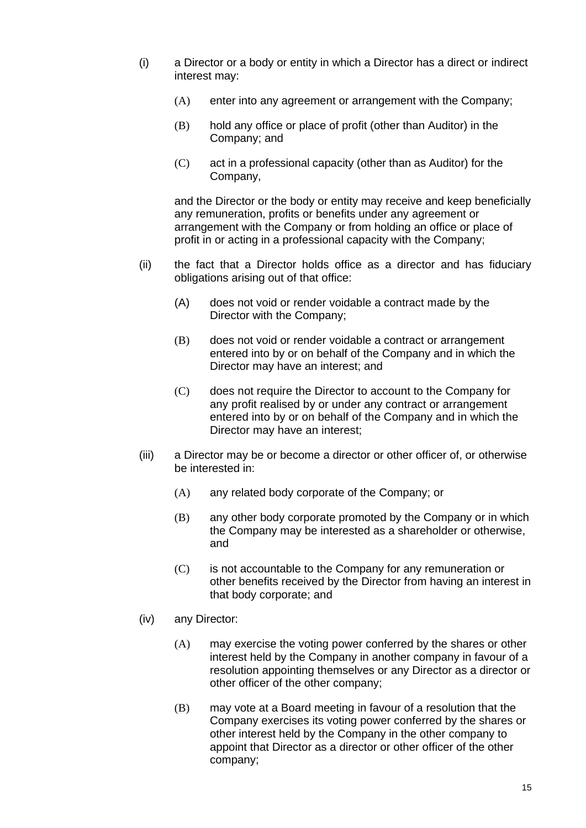- (i) a Director or a body or entity in which a Director has a direct or indirect interest may:
	- (A) enter into any agreement or arrangement with the Company;
	- (B) hold any office or place of profit (other than Auditor) in the Company; and
	- (C) act in a professional capacity (other than as Auditor) for the Company,

and the Director or the body or entity may receive and keep beneficially any remuneration, profits or benefits under any agreement or arrangement with the Company or from holding an office or place of profit in or acting in a professional capacity with the Company;

- (ii) the fact that a Director holds office as a director and has fiduciary obligations arising out of that office:
	- (A) does not void or render voidable a contract made by the Director with the Company;
	- (B) does not void or render voidable a contract or arrangement entered into by or on behalf of the Company and in which the Director may have an interest; and
	- (C) does not require the Director to account to the Company for any profit realised by or under any contract or arrangement entered into by or on behalf of the Company and in which the Director may have an interest;
- (iii) a Director may be or become a director or other officer of, or otherwise be interested in:
	- (A) any related body corporate of the Company; or
	- (B) any other body corporate promoted by the Company or in which the Company may be interested as a shareholder or otherwise, and
	- (C) is not accountable to the Company for any remuneration or other benefits received by the Director from having an interest in that body corporate; and
- (iv) any Director:
	- (A) may exercise the voting power conferred by the shares or other interest held by the Company in another company in favour of a resolution appointing themselves or any Director as a director or other officer of the other company;
	- (B) may vote at a Board meeting in favour of a resolution that the Company exercises its voting power conferred by the shares or other interest held by the Company in the other company to appoint that Director as a director or other officer of the other company;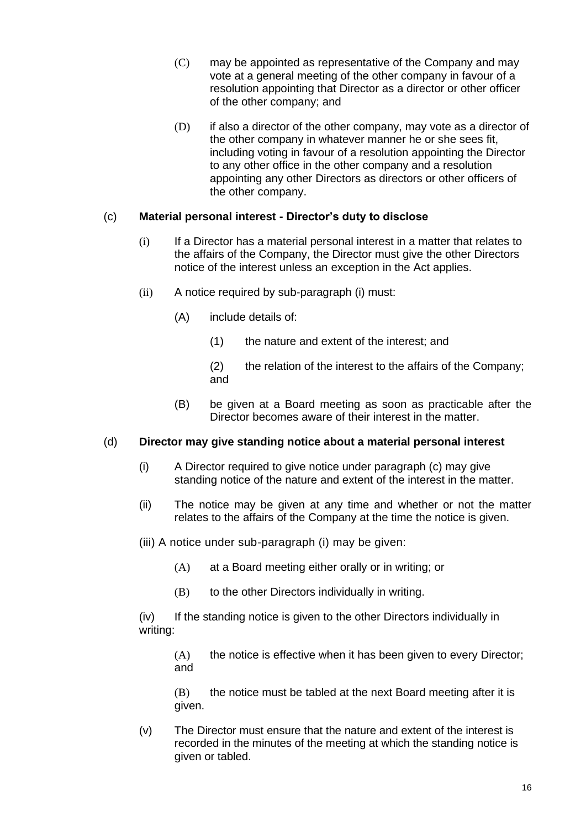- (C) may be appointed as representative of the Company and may vote at a general meeting of the other company in favour of a resolution appointing that Director as a director or other officer of the other company; and
- (D) if also a director of the other company, may vote as a director of the other company in whatever manner he or she sees fit, including voting in favour of a resolution appointing the Director to any other office in the other company and a resolution appointing any other Directors as directors or other officers of the other company.

# (c) **Material personal interest - Director's duty to disclose**

- (i) If a Director has a material personal interest in a matter that relates to the affairs of the Company, the Director must give the other Directors notice of the interest unless an exception in the Act applies.
- (ii) A notice required by sub-paragraph (i) must:
	- (A) include details of:
		- (1) the nature and extent of the interest; and
		- (2) the relation of the interest to the affairs of the Company; and
	- (B) be given at a Board meeting as soon as practicable after the Director becomes aware of their interest in the matter.

# (d) **Director may give standing notice about a material personal interest**

- (i) A Director required to give notice under paragraph (c) may give standing notice of the nature and extent of the interest in the matter.
- (ii) The notice may be given at any time and whether or not the matter relates to the affairs of the Company at the time the notice is given.
- (iii) A notice under sub-paragraph (i) may be given:
	- (A) at a Board meeting either orally or in writing; or
	- (B) to the other Directors individually in writing.

(iv) If the standing notice is given to the other Directors individually in writing:

(A) the notice is effective when it has been given to every Director; and

(B) the notice must be tabled at the next Board meeting after it is given.

(v) The Director must ensure that the nature and extent of the interest is recorded in the minutes of the meeting at which the standing notice is given or tabled.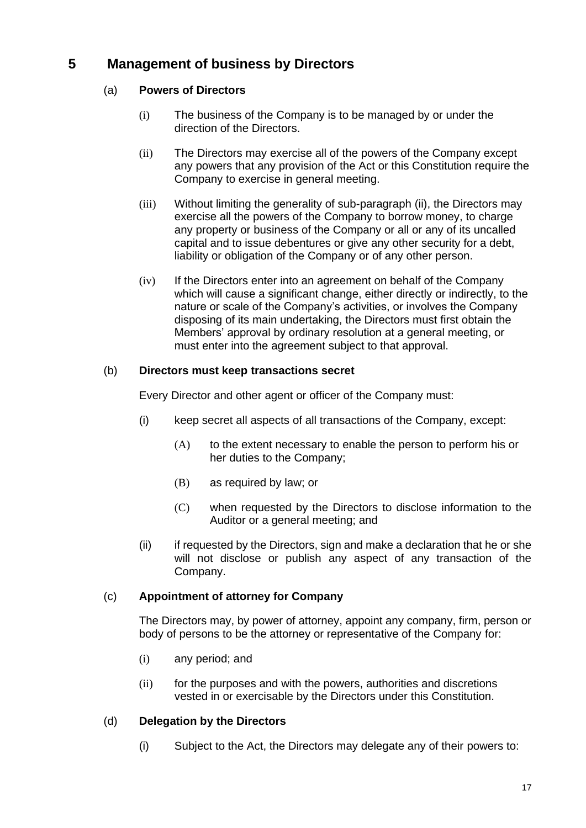# **5 Management of business by Directors**

# (a) **Powers of Directors**

- (i) The business of the Company is to be managed by or under the direction of the Directors.
- (ii) The Directors may exercise all of the powers of the Company except any powers that any provision of the Act or this Constitution require the Company to exercise in general meeting.
- (iii) Without limiting the generality of sub-paragraph (ii), the Directors may exercise all the powers of the Company to borrow money, to charge any property or business of the Company or all or any of its uncalled capital and to issue debentures or give any other security for a debt, liability or obligation of the Company or of any other person.
- (iv) If the Directors enter into an agreement on behalf of the Company which will cause a significant change, either directly or indirectly, to the nature or scale of the Company's activities, or involves the Company disposing of its main undertaking, the Directors must first obtain the Members' approval by ordinary resolution at a general meeting, or must enter into the agreement subject to that approval.

# (b) **Directors must keep transactions secret**

Every Director and other agent or officer of the Company must:

- (i) keep secret all aspects of all transactions of the Company, except:
	- (A) to the extent necessary to enable the person to perform his or her duties to the Company;
	- (B) as required by law; or
	- (C) when requested by the Directors to disclose information to the Auditor or a general meeting; and
- (ii) if requested by the Directors, sign and make a declaration that he or she will not disclose or publish any aspect of any transaction of the Company.

# (c) **Appointment of attorney for Company**

The Directors may, by power of attorney, appoint any company, firm, person or body of persons to be the attorney or representative of the Company for:

- (i) any period; and
- (ii) for the purposes and with the powers, authorities and discretions vested in or exercisable by the Directors under this Constitution.

# (d) **Delegation by the Directors**

(i) Subject to the Act, the Directors may delegate any of their powers to: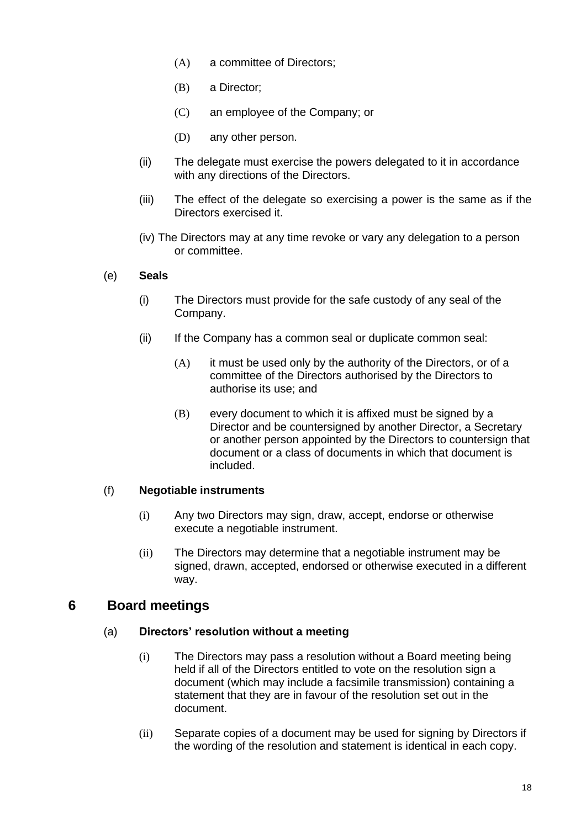- (A) a committee of Directors;
- (B) a Director;
- (C) an employee of the Company; or
- (D) any other person.
- (ii) The delegate must exercise the powers delegated to it in accordance with any directions of the Directors.
- (iii) The effect of the delegate so exercising a power is the same as if the Directors exercised it.
- (iv) The Directors may at any time revoke or vary any delegation to a person or committee.

#### (e) **Seals**

- (i) The Directors must provide for the safe custody of any seal of the Company.
- (ii) If the Company has a common seal or duplicate common seal:
	- $(A)$  it must be used only by the authority of the Directors, or of a committee of the Directors authorised by the Directors to authorise its use; and
	- (B) every document to which it is affixed must be signed by a Director and be countersigned by another Director, a Secretary or another person appointed by the Directors to countersign that document or a class of documents in which that document is included.

# (f) **Negotiable instruments**

- (i) Any two Directors may sign, draw, accept, endorse or otherwise execute a negotiable instrument.
- (ii) The Directors may determine that a negotiable instrument may be signed, drawn, accepted, endorsed or otherwise executed in a different way.

# **6 Board meetings**

#### (a) **Directors' resolution without a meeting**

- (i) The Directors may pass a resolution without a Board meeting being held if all of the Directors entitled to vote on the resolution sign a document (which may include a facsimile transmission) containing a statement that they are in favour of the resolution set out in the document.
- (ii) Separate copies of a document may be used for signing by Directors if the wording of the resolution and statement is identical in each copy.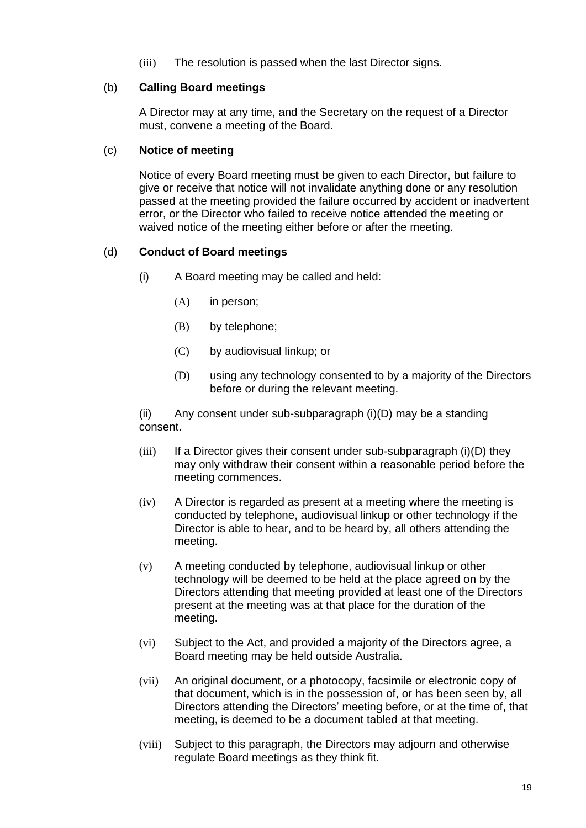(iii) The resolution is passed when the last Director signs.

# (b) **Calling Board meetings**

A Director may at any time, and the Secretary on the request of a Director must, convene a meeting of the Board.

# (c) **Notice of meeting**

Notice of every Board meeting must be given to each Director, but failure to give or receive that notice will not invalidate anything done or any resolution passed at the meeting provided the failure occurred by accident or inadvertent error, or the Director who failed to receive notice attended the meeting or waived notice of the meeting either before or after the meeting.

# (d) **Conduct of Board meetings**

- (i) A Board meeting may be called and held:
	- (A) in person;
	- (B) by telephone;
	- (C) by audiovisual linkup; or
	- (D) using any technology consented to by a majority of the Directors before or during the relevant meeting.

(ii) Any consent under sub-subparagraph (i)(D) may be a standing consent.

- $(iii)$  If a Director gives their consent under sub-subparagraph  $(i)(D)$  they may only withdraw their consent within a reasonable period before the meeting commences.
- (iv) A Director is regarded as present at a meeting where the meeting is conducted by telephone, audiovisual linkup or other technology if the Director is able to hear, and to be heard by, all others attending the meeting.
- (v) A meeting conducted by telephone, audiovisual linkup or other technology will be deemed to be held at the place agreed on by the Directors attending that meeting provided at least one of the Directors present at the meeting was at that place for the duration of the meeting.
- (vi) Subject to the Act, and provided a majority of the Directors agree, a Board meeting may be held outside Australia.
- (vii) An original document, or a photocopy, facsimile or electronic copy of that document, which is in the possession of, or has been seen by, all Directors attending the Directors' meeting before, or at the time of, that meeting, is deemed to be a document tabled at that meeting.
- (viii) Subject to this paragraph, the Directors may adjourn and otherwise regulate Board meetings as they think fit.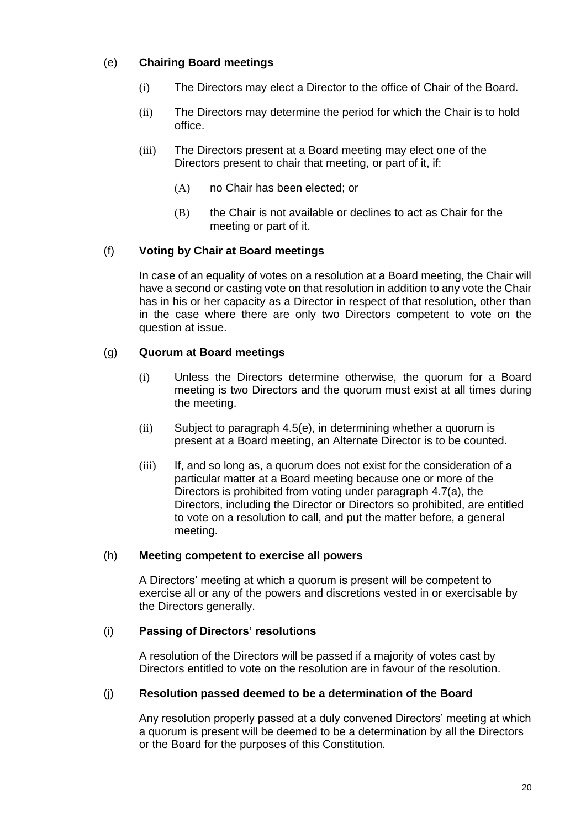# (e) **Chairing Board meetings**

- (i) The Directors may elect a Director to the office of Chair of the Board.
- (ii) The Directors may determine the period for which the Chair is to hold office.
- (iii) The Directors present at a Board meeting may elect one of the Directors present to chair that meeting, or part of it, if:
	- (A) no Chair has been elected; or
	- $(B)$  the Chair is not available or declines to act as Chair for the meeting or part of it.

# (f) **Voting by Chair at Board meetings**

In case of an equality of votes on a resolution at a Board meeting, the Chair will have a second or casting vote on that resolution in addition to any vote the Chair has in his or her capacity as a Director in respect of that resolution, other than in the case where there are only two Directors competent to vote on the question at issue.

# (g) **Quorum at Board meetings**

- (i) Unless the Directors determine otherwise, the quorum for a Board meeting is two Directors and the quorum must exist at all times during the meeting.
- (ii) Subject to paragraph 4.5(e), in determining whether a quorum is present at a Board meeting, an Alternate Director is to be counted.
- (iii) If, and so long as, a quorum does not exist for the consideration of a particular matter at a Board meeting because one or more of the Directors is prohibited from voting under paragraph 4.7(a), the Directors, including the Director or Directors so prohibited, are entitled to vote on a resolution to call, and put the matter before, a general meeting.

#### (h) **Meeting competent to exercise all powers**

A Directors' meeting at which a quorum is present will be competent to exercise all or any of the powers and discretions vested in or exercisable by the Directors generally.

#### (i) **Passing of Directors' resolutions**

A resolution of the Directors will be passed if a majority of votes cast by Directors entitled to vote on the resolution are in favour of the resolution.

#### (j) **Resolution passed deemed to be a determination of the Board**

Any resolution properly passed at a duly convened Directors' meeting at which a quorum is present will be deemed to be a determination by all the Directors or the Board for the purposes of this Constitution.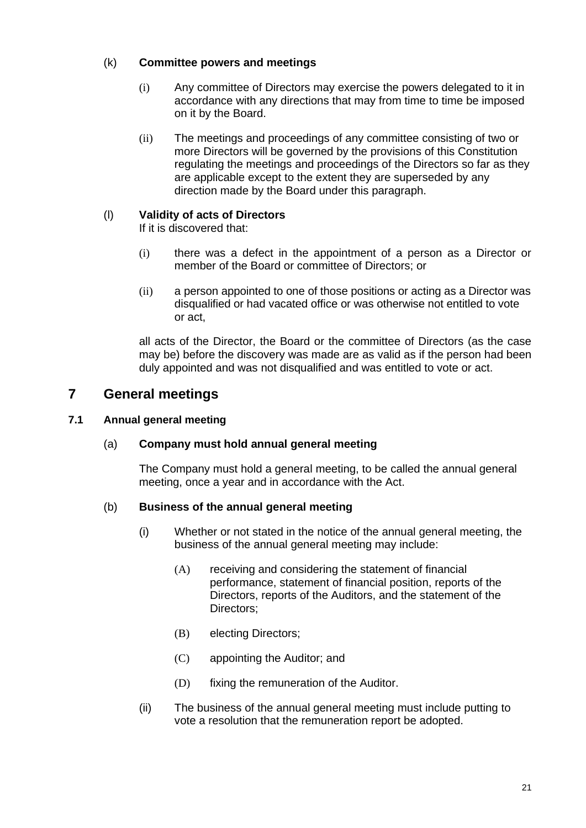# (k) **Committee powers and meetings**

- (i) Any committee of Directors may exercise the powers delegated to it in accordance with any directions that may from time to time be imposed on it by the Board.
- (ii) The meetings and proceedings of any committee consisting of two or more Directors will be governed by the provisions of this Constitution regulating the meetings and proceedings of the Directors so far as they are applicable except to the extent they are superseded by any direction made by the Board under this paragraph.

# (l) **Validity of acts of Directors**

If it is discovered that:

- (i) there was a defect in the appointment of a person as a Director or member of the Board or committee of Directors; or
- (ii) a person appointed to one of those positions or acting as a Director was disqualified or had vacated office or was otherwise not entitled to vote or act,

all acts of the Director, the Board or the committee of Directors (as the case may be) before the discovery was made are as valid as if the person had been duly appointed and was not disqualified and was entitled to vote or act.

# **7 General meetings**

# **7.1 Annual general meeting**

# (a) **Company must hold annual general meeting**

The Company must hold a general meeting, to be called the annual general meeting, once a year and in accordance with the Act.

# (b) **Business of the annual general meeting**

- (i) Whether or not stated in the notice of the annual general meeting, the business of the annual general meeting may include:
	- (A) receiving and considering the statement of financial performance, statement of financial position, reports of the Directors, reports of the Auditors, and the statement of the Directors;
	- (B) electing Directors;
	- (C) appointing the Auditor; and
	- (D) fixing the remuneration of the Auditor.
- (ii) The business of the annual general meeting must include putting to vote a resolution that the remuneration report be adopted.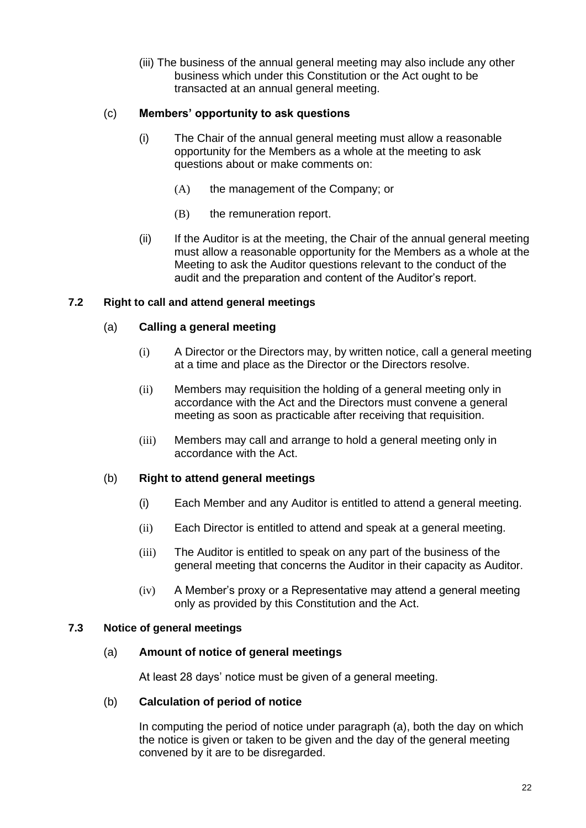(iii) The business of the annual general meeting may also include any other business which under this Constitution or the Act ought to be transacted at an annual general meeting.

# (c) **Members' opportunity to ask questions**

- (i) The Chair of the annual general meeting must allow a reasonable opportunity for the Members as a whole at the meeting to ask questions about or make comments on:
	- (A) the management of the Company; or
	- (B) the remuneration report.
- (ii) If the Auditor is at the meeting, the Chair of the annual general meeting must allow a reasonable opportunity for the Members as a whole at the Meeting to ask the Auditor questions relevant to the conduct of the audit and the preparation and content of the Auditor's report.

# **7.2 Right to call and attend general meetings**

# (a) **Calling a general meeting**

- (i) A Director or the Directors may, by written notice, call a general meeting at a time and place as the Director or the Directors resolve.
- (ii) Members may requisition the holding of a general meeting only in accordance with the Act and the Directors must convene a general meeting as soon as practicable after receiving that requisition.
- (iii) Members may call and arrange to hold a general meeting only in accordance with the Act.

# (b) **Right to attend general meetings**

- (i) Each Member and any Auditor is entitled to attend a general meeting.
- (ii) Each Director is entitled to attend and speak at a general meeting.
- (iii) The Auditor is entitled to speak on any part of the business of the general meeting that concerns the Auditor in their capacity as Auditor.
- (iv) A Member's proxy or a Representative may attend a general meeting only as provided by this Constitution and the Act.

#### **7.3 Notice of general meetings**

#### (a) **Amount of notice of general meetings**

At least 28 days' notice must be given of a general meeting.

#### (b) **Calculation of period of notice**

In computing the period of notice under paragraph (a), both the day on which the notice is given or taken to be given and the day of the general meeting convened by it are to be disregarded.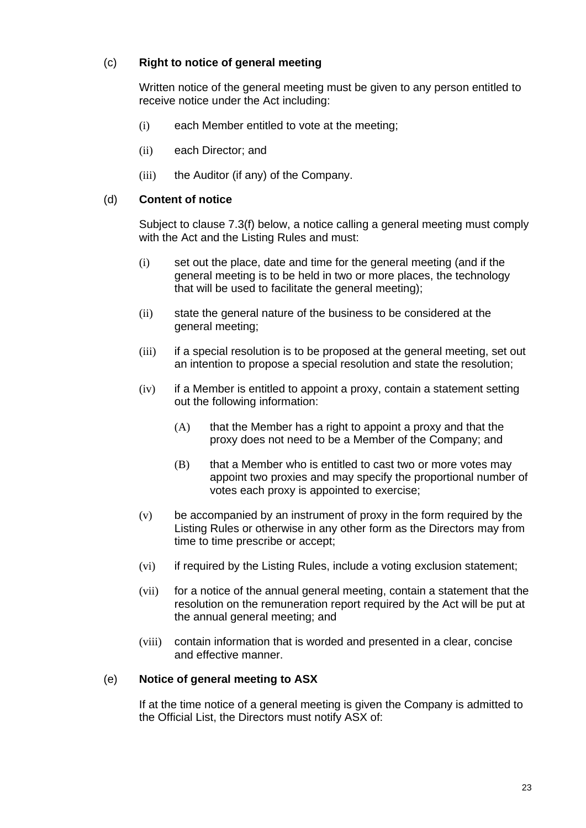# (c) **Right to notice of general meeting**

Written notice of the general meeting must be given to any person entitled to receive notice under the Act including:

- (i) each Member entitled to vote at the meeting;
- (ii) each Director; and
- (iii) the Auditor (if any) of the Company.

#### (d) **Content of notice**

Subject to clause 7.3(f) below, a notice calling a general meeting must comply with the Act and the Listing Rules and must:

- (i) set out the place, date and time for the general meeting (and if the general meeting is to be held in two or more places, the technology that will be used to facilitate the general meeting);
- (ii) state the general nature of the business to be considered at the general meeting;
- (iii) if a special resolution is to be proposed at the general meeting, set out an intention to propose a special resolution and state the resolution;
- (iv) if a Member is entitled to appoint a proxy, contain a statement setting out the following information:
	- $(A)$  that the Member has a right to appoint a proxy and that the proxy does not need to be a Member of the Company; and
	- (B) that a Member who is entitled to cast two or more votes may appoint two proxies and may specify the proportional number of votes each proxy is appointed to exercise;
- (v) be accompanied by an instrument of proxy in the form required by the Listing Rules or otherwise in any other form as the Directors may from time to time prescribe or accept;
- (vi) if required by the Listing Rules, include a voting exclusion statement;
- (vii) for a notice of the annual general meeting, contain a statement that the resolution on the remuneration report required by the Act will be put at the annual general meeting; and
- (viii) contain information that is worded and presented in a clear, concise and effective manner.

# (e) **Notice of general meeting to ASX**

If at the time notice of a general meeting is given the Company is admitted to the Official List, the Directors must notify ASX of: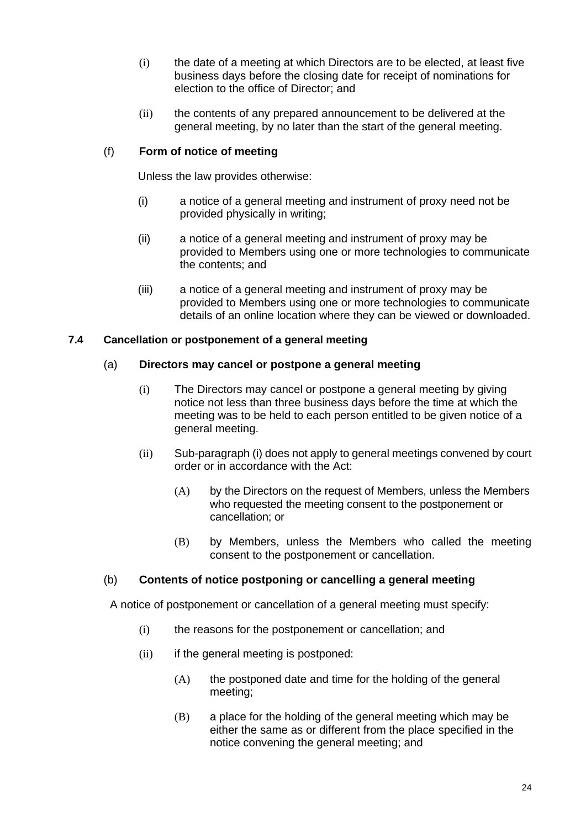- (i) the date of a meeting at which Directors are to be elected, at least five business days before the closing date for receipt of nominations for election to the office of Director; and
- (ii) the contents of any prepared announcement to be delivered at the general meeting, by no later than the start of the general meeting.

# (f) **Form of notice of meeting**

Unless the law provides otherwise:

- (i) a notice of a general meeting and instrument of proxy need not be provided physically in writing;
- (ii) a notice of a general meeting and instrument of proxy may be provided to Members using one or more technologies to communicate the contents; and
- (iii) a notice of a general meeting and instrument of proxy may be provided to Members using one or more technologies to communicate details of an online location where they can be viewed or downloaded.

# **7.4 Cancellation or postponement of a general meeting**

# (a) **Directors may cancel or postpone a general meeting**

- (i) The Directors may cancel or postpone a general meeting by giving notice not less than three business days before the time at which the meeting was to be held to each person entitled to be given notice of a general meeting.
- (ii) Sub-paragraph (i) does not apply to general meetings convened by court order or in accordance with the Act:
	- (A) by the Directors on the request of Members, unless the Members who requested the meeting consent to the postponement or cancellation; or
	- (B) by Members, unless the Members who called the meeting consent to the postponement or cancellation.

# (b) **Contents of notice postponing or cancelling a general meeting**

A notice of postponement or cancellation of a general meeting must specify:

- (i) the reasons for the postponement or cancellation; and
- (ii) if the general meeting is postponed:
	- (A) the postponed date and time for the holding of the general meeting;
	- (B) a place for the holding of the general meeting which may be either the same as or different from the place specified in the notice convening the general meeting; and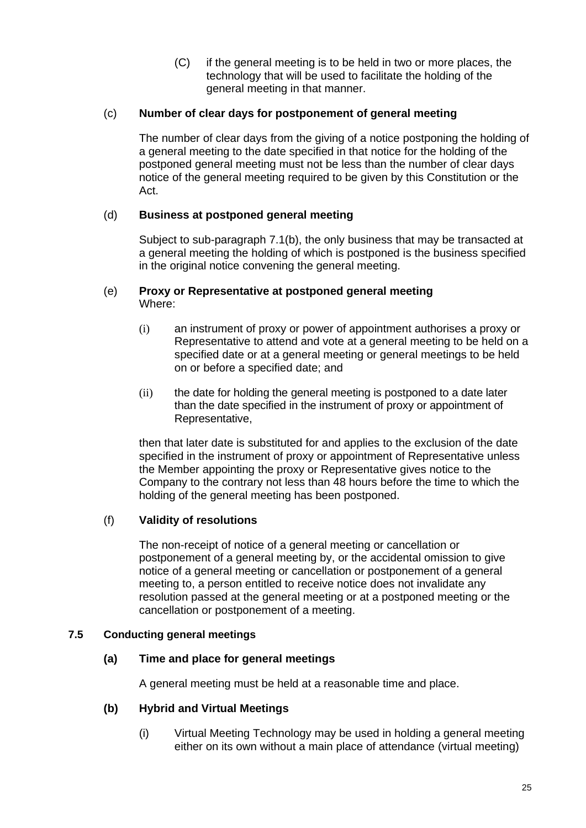(C) if the general meeting is to be held in two or more places, the technology that will be used to facilitate the holding of the general meeting in that manner.

# (c) **Number of clear days for postponement of general meeting**

The number of clear days from the giving of a notice postponing the holding of a general meeting to the date specified in that notice for the holding of the postponed general meeting must not be less than the number of clear days notice of the general meeting required to be given by this Constitution or the Act.

# (d) **Business at postponed general meeting**

Subject to sub-paragraph 7.1(b), the only business that may be transacted at a general meeting the holding of which is postponed is the business specified in the original notice convening the general meeting.

#### (e) **Proxy or Representative at postponed general meeting**  Where:

- (i) an instrument of proxy or power of appointment authorises a proxy or Representative to attend and vote at a general meeting to be held on a specified date or at a general meeting or general meetings to be held on or before a specified date; and
- (ii) the date for holding the general meeting is postponed to a date later than the date specified in the instrument of proxy or appointment of Representative,

then that later date is substituted for and applies to the exclusion of the date specified in the instrument of proxy or appointment of Representative unless the Member appointing the proxy or Representative gives notice to the Company to the contrary not less than 48 hours before the time to which the holding of the general meeting has been postponed.

# (f) **Validity of resolutions**

The non-receipt of notice of a general meeting or cancellation or postponement of a general meeting by, or the accidental omission to give notice of a general meeting or cancellation or postponement of a general meeting to, a person entitled to receive notice does not invalidate any resolution passed at the general meeting or at a postponed meeting or the cancellation or postponement of a meeting.

# **7.5 Conducting general meetings**

# **(a) Time and place for general meetings**

A general meeting must be held at a reasonable time and place.

#### **(b) Hybrid and Virtual Meetings**

(i) Virtual Meeting Technology may be used in holding a general meeting either on its own without a main place of attendance (virtual meeting)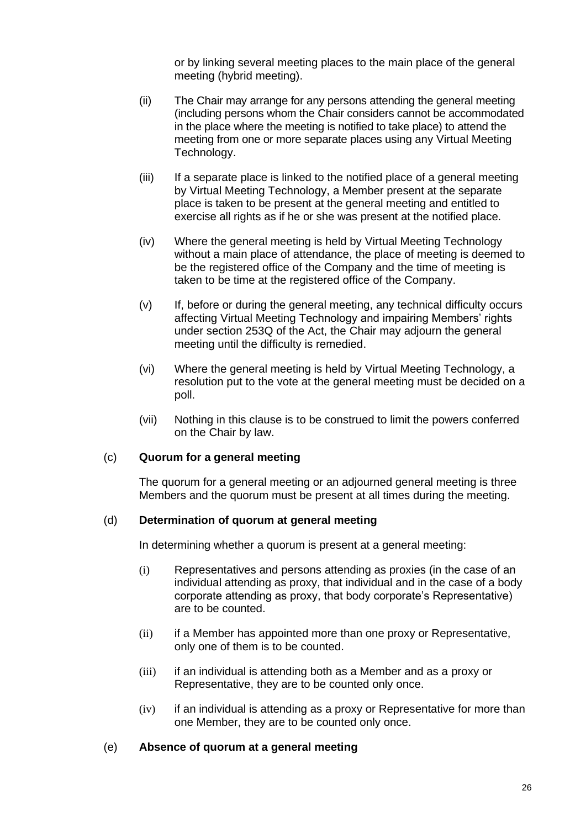or by linking several meeting places to the main place of the general meeting (hybrid meeting).

- (ii) The Chair may arrange for any persons attending the general meeting (including persons whom the Chair considers cannot be accommodated in the place where the meeting is notified to take place) to attend the meeting from one or more separate places using any Virtual Meeting Technology.
- (iii) If a separate place is linked to the notified place of a general meeting by Virtual Meeting Technology, a Member present at the separate place is taken to be present at the general meeting and entitled to exercise all rights as if he or she was present at the notified place.
- (iv) Where the general meeting is held by Virtual Meeting Technology without a main place of attendance, the place of meeting is deemed to be the registered office of the Company and the time of meeting is taken to be time at the registered office of the Company.
- (v) If, before or during the general meeting, any technical difficulty occurs affecting Virtual Meeting Technology and impairing Members' rights under section 253Q of the Act, the Chair may adjourn the general meeting until the difficulty is remedied.
- (vi) Where the general meeting is held by Virtual Meeting Technology, a [resolution](http://www8.austlii.edu.au/au/legis/cth/consol_act/ca2001172/s9.html#resolution) put to the vote at the general meeting must be decided on a poll.
- (vii) Nothing in this clause is to be construed to limit the powers conferred on the Chair by law.

# (c) **Quorum for a general meeting**

The quorum for a general meeting or an adjourned general meeting is three Members and the quorum must be present at all times during the meeting.

#### (d) **Determination of quorum at general meeting**

In determining whether a quorum is present at a general meeting:

- (i) Representatives and persons attending as proxies (in the case of an individual attending as proxy, that individual and in the case of a body corporate attending as proxy, that body corporate's Representative) are to be counted.
- (ii) if a Member has appointed more than one proxy or Representative, only one of them is to be counted.
- (iii) if an individual is attending both as a Member and as a proxy or Representative, they are to be counted only once.
- (iv) if an individual is attending as a proxy or Representative for more than one Member, they are to be counted only once.

#### (e) **Absence of quorum at a general meeting**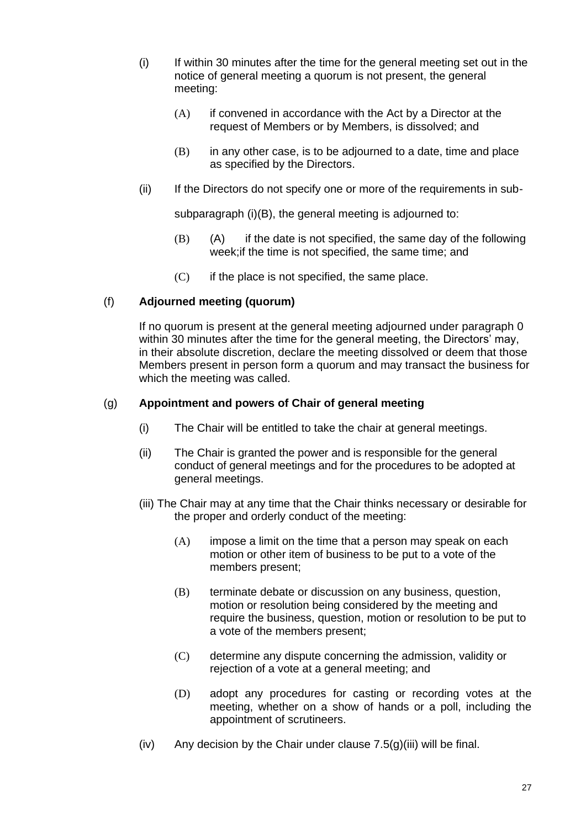- (i) If within 30 minutes after the time for the general meeting set out in the notice of general meeting a quorum is not present, the general meeting:
	- (A) if convened in accordance with the Act by a Director at the request of Members or by Members, is dissolved; and
	- $(B)$  in any other case, is to be adjourned to a date, time and place as specified by the Directors.
- (ii) If the Directors do not specify one or more of the requirements in sub-

subparagraph (i)(B), the general meeting is adjourned to:

- (B) (A) if the date is not specified, the same day of the following week;if the time is not specified, the same time; and
- $(C)$  if the place is not specified, the same place.

# (f) **Adjourned meeting (quorum)**

If no quorum is present at the general meeting adjourned under paragraph 0 within 30 minutes after the time for the general meeting, the Directors' may, in their absolute discretion, declare the meeting dissolved or deem that those Members present in person form a quorum and may transact the business for which the meeting was called.

# (g) **Appointment and powers of Chair of general meeting**

- (i) The Chair will be entitled to take the chair at general meetings.
- (ii) The Chair is granted the power and is responsible for the general conduct of general meetings and for the procedures to be adopted at general meetings.
- (iii) The Chair may at any time that the Chair thinks necessary or desirable for the proper and orderly conduct of the meeting:
	- (A) impose a limit on the time that a person may speak on each motion or other item of business to be put to a vote of the members present;
	- (B) terminate debate or discussion on any business, question, motion or resolution being considered by the meeting and require the business, question, motion or resolution to be put to a vote of the members present;
	- (C) determine any dispute concerning the admission, validity or rejection of a vote at a general meeting; and
	- (D) adopt any procedures for casting or recording votes at the meeting, whether on a show of hands or a poll, including the appointment of scrutineers.
- (iv) Any decision by the Chair under clause  $7.5(g)(iii)$  will be final.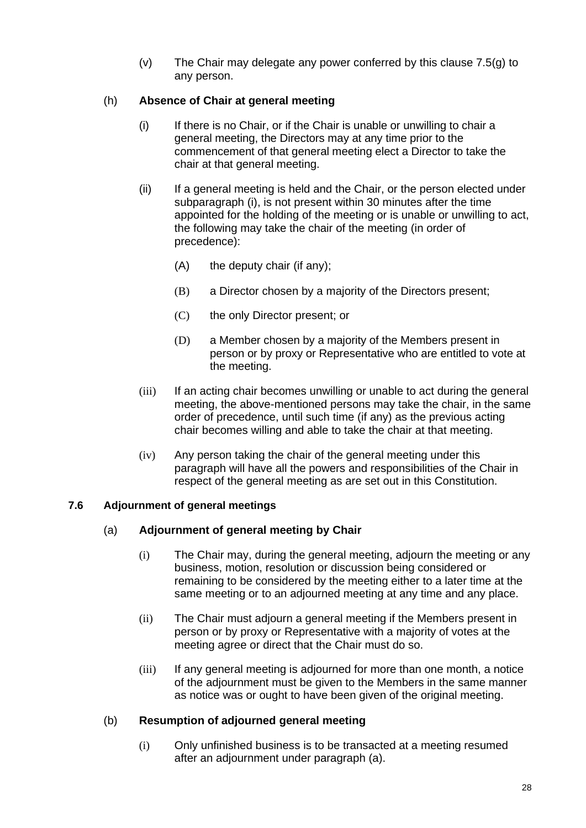(v) The Chair may delegate any power conferred by this clause 7.5(g) to any person.

# (h) **Absence of Chair at general meeting**

- (i) If there is no Chair, or if the Chair is unable or unwilling to chair a general meeting, the Directors may at any time prior to the commencement of that general meeting elect a Director to take the chair at that general meeting.
- (ii) If a general meeting is held and the Chair, or the person elected under subparagraph (i), is not present within 30 minutes after the time appointed for the holding of the meeting or is unable or unwilling to act, the following may take the chair of the meeting (in order of precedence):
	- (A) the deputy chair (if any);
	- (B) a Director chosen by a majority of the Directors present;
	- (C) the only Director present; or
	- (D) a Member chosen by a majority of the Members present in person or by proxy or Representative who are entitled to vote at the meeting.
- (iii) If an acting chair becomes unwilling or unable to act during the general meeting, the above-mentioned persons may take the chair, in the same order of precedence, until such time (if any) as the previous acting chair becomes willing and able to take the chair at that meeting.
- (iv) Any person taking the chair of the general meeting under this paragraph will have all the powers and responsibilities of the Chair in respect of the general meeting as are set out in this Constitution.

# **7.6 Adjournment of general meetings**

# (a) **Adjournment of general meeting by Chair**

- (i) The Chair may, during the general meeting, adjourn the meeting or any business, motion, resolution or discussion being considered or remaining to be considered by the meeting either to a later time at the same meeting or to an adjourned meeting at any time and any place.
- (ii) The Chair must adjourn a general meeting if the Members present in person or by proxy or Representative with a majority of votes at the meeting agree or direct that the Chair must do so.
- (iii) If any general meeting is adjourned for more than one month, a notice of the adjournment must be given to the Members in the same manner as notice was or ought to have been given of the original meeting.

# (b) **Resumption of adjourned general meeting**

(i) Only unfinished business is to be transacted at a meeting resumed after an adjournment under paragraph (a).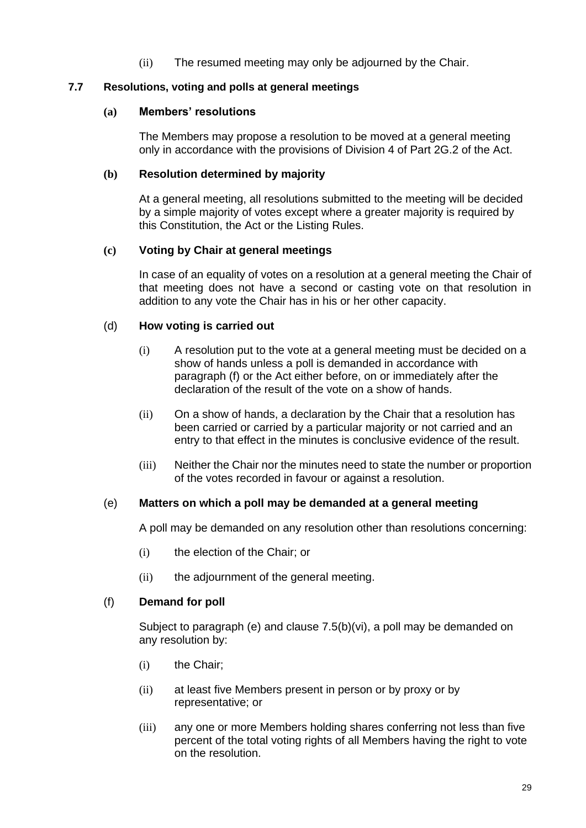(ii) The resumed meeting may only be adjourned by the Chair.

#### **7.7 Resolutions, voting and polls at general meetings**

#### **(a) Members' resolutions**

The Members may propose a resolution to be moved at a general meeting only in accordance with the provisions of Division 4 of Part 2G.2 of the Act.

#### **(b) Resolution determined by majority**

At a general meeting, all resolutions submitted to the meeting will be decided by a simple majority of votes except where a greater majority is required by this Constitution, the Act or the Listing Rules.

#### **(c) Voting by Chair at general meetings**

In case of an equality of votes on a resolution at a general meeting the Chair of that meeting does not have a second or casting vote on that resolution in addition to any vote the Chair has in his or her other capacity.

#### (d) **How voting is carried out**

- (i) A resolution put to the vote at a general meeting must be decided on a show of hands unless a poll is demanded in accordance with paragraph (f) or the Act either before, on or immediately after the declaration of the result of the vote on a show of hands.
- (ii) On a show of hands, a declaration by the Chair that a resolution has been carried or carried by a particular majority or not carried and an entry to that effect in the minutes is conclusive evidence of the result.
- (iii) Neither the Chair nor the minutes need to state the number or proportion of the votes recorded in favour or against a resolution.

#### (e) **Matters on which a poll may be demanded at a general meeting**

A poll may be demanded on any resolution other than resolutions concerning:

- (i) the election of the Chair; or
- (ii) the adjournment of the general meeting.

#### (f) **Demand for poll**

Subject to paragraph (e) and clause 7.5(b)(vi), a poll may be demanded on any resolution by:

- (i) the Chair;
- (ii) at least five Members present in person or by proxy or by representative; or
- (iii) any one or more Members holding shares conferring not less than five percent of the total voting rights of all Members having the right to vote on the resolution.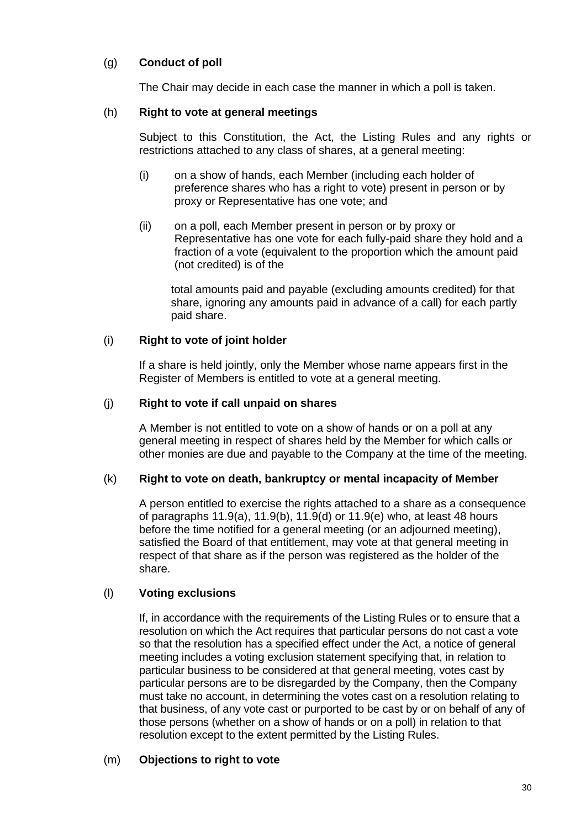# (g) **Conduct of poll**

The Chair may decide in each case the manner in which a poll is taken.

# (h) **Right to vote at general meetings**

Subject to this Constitution, the Act, the Listing Rules and any rights or restrictions attached to any class of shares, at a general meeting:

- (i) on a show of hands, each Member (including each holder of preference shares who has a right to vote) present in person or by proxy or Representative has one vote; and
- (ii) on a poll, each Member present in person or by proxy or Representative has one vote for each fully-paid share they hold and a fraction of a vote (equivalent to the proportion which the amount paid (not credited) is of the

total amounts paid and payable (excluding amounts credited) for that share, ignoring any amounts paid in advance of a call) for each partly paid share.

# (i) **Right to vote of joint holder**

If a share is held jointly, only the Member whose name appears first in the Register of Members is entitled to vote at a general meeting.

# (j) **Right to vote if call unpaid on shares**

A Member is not entitled to vote on a show of hands or on a poll at any general meeting in respect of shares held by the Member for which calls or other monies are due and payable to the Company at the time of the meeting.

#### (k) **Right to vote on death, bankruptcy or mental incapacity of Member**

A person entitled to exercise the rights attached to a share as a consequence of paragraphs 11.9(a), 11.9(b), 11.9(d) or 11.9(e) who, at least 48 hours before the time notified for a general meeting (or an adjourned meeting), satisfied the Board of that entitlement, may vote at that general meeting in respect of that share as if the person was registered as the holder of the share.

# (l) **Voting exclusions**

If, in accordance with the requirements of the Listing Rules or to ensure that a resolution on which the Act requires that particular persons do not cast a vote so that the resolution has a specified effect under the Act, a notice of general meeting includes a voting exclusion statement specifying that, in relation to particular business to be considered at that general meeting, votes cast by particular persons are to be disregarded by the Company, then the Company must take no account, in determining the votes cast on a resolution relating to that business, of any vote cast or purported to be cast by or on behalf of any of those persons (whether on a show of hands or on a poll) in relation to that resolution except to the extent permitted by the Listing Rules.

#### (m) **Objections to right to vote**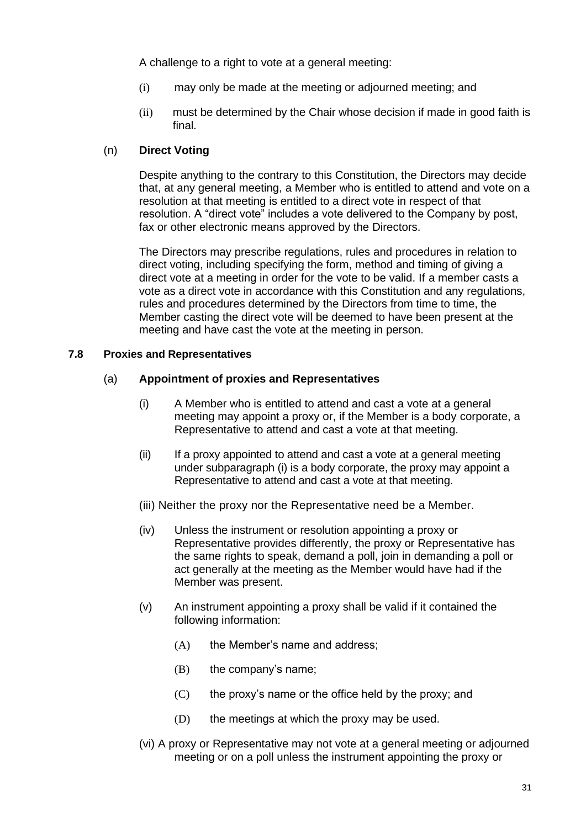A challenge to a right to vote at a general meeting:

- (i) may only be made at the meeting or adjourned meeting; and
- (ii) must be determined by the Chair whose decision if made in good faith is final.

# (n) **Direct Voting**

Despite anything to the contrary to this Constitution, the Directors may decide that, at any general meeting, a Member who is entitled to attend and vote on a resolution at that meeting is entitled to a direct vote in respect of that resolution. A "direct vote" includes a vote delivered to the Company by post, fax or other electronic means approved by the Directors.

The Directors may prescribe regulations, rules and procedures in relation to direct voting, including specifying the form, method and timing of giving a direct vote at a meeting in order for the vote to be valid. If a member casts a vote as a direct vote in accordance with this Constitution and any regulations, rules and procedures determined by the Directors from time to time, the Member casting the direct vote will be deemed to have been present at the meeting and have cast the vote at the meeting in person.

# **7.8 Proxies and Representatives**

# (a) **Appointment of proxies and Representatives**

- (i) A Member who is entitled to attend and cast a vote at a general meeting may appoint a proxy or, if the Member is a body corporate, a Representative to attend and cast a vote at that meeting.
- (ii) If a proxy appointed to attend and cast a vote at a general meeting under subparagraph (i) is a body corporate, the proxy may appoint a Representative to attend and cast a vote at that meeting.
- (iii) Neither the proxy nor the Representative need be a Member.
- (iv) Unless the instrument or resolution appointing a proxy or Representative provides differently, the proxy or Representative has the same rights to speak, demand a poll, join in demanding a poll or act generally at the meeting as the Member would have had if the Member was present.
- (v) An instrument appointing a proxy shall be valid if it contained the following information:
	- (A) the Member's name and address;
	- (B) the company's name;
	- $(C)$  the proxy's name or the office held by the proxy; and
	- (D) the meetings at which the proxy may be used.
- (vi) A proxy or Representative may not vote at a general meeting or adjourned meeting or on a poll unless the instrument appointing the proxy or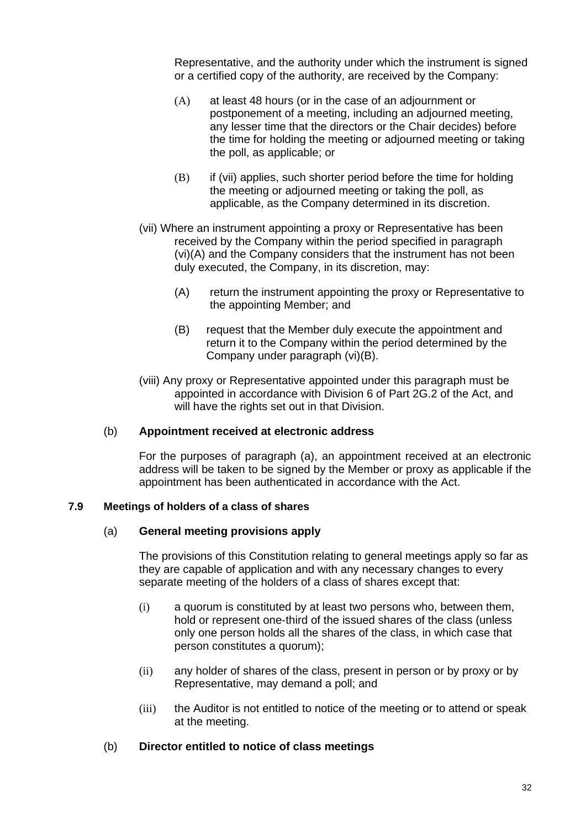Representative, and the authority under which the instrument is signed or a certified copy of the authority, are received by the Company:

- (A) at least 48 hours (or in the case of an adjournment or postponement of a meeting, including an adjourned meeting, any lesser time that the directors or the Chair decides) before the time for holding the meeting or adjourned meeting or taking the poll, as applicable; or
- (B) if (vii) applies, such shorter period before the time for holding the meeting or adjourned meeting or taking the poll, as applicable, as the Company determined in its discretion.
- (vii) Where an instrument appointing a proxy or Representative has been received by the Company within the period specified in paragraph (vi)(A) and the Company considers that the instrument has not been duly executed, the Company, in its discretion, may:
	- (A) return the instrument appointing the proxy or Representative to the appointing Member; and
	- (B) request that the Member duly execute the appointment and return it to the Company within the period determined by the Company under paragraph (vi)(B).
- (viii) Any proxy or Representative appointed under this paragraph must be appointed in accordance with Division 6 of Part 2G.2 of the Act, and will have the rights set out in that Division.

#### (b) **Appointment received at electronic address**

For the purposes of paragraph (a), an appointment received at an electronic address will be taken to be signed by the Member or proxy as applicable if the appointment has been authenticated in accordance with the Act.

#### **7.9 Meetings of holders of a class of shares**

#### (a) **General meeting provisions apply**

The provisions of this Constitution relating to general meetings apply so far as they are capable of application and with any necessary changes to every separate meeting of the holders of a class of shares except that:

- (i) a quorum is constituted by at least two persons who, between them, hold or represent one-third of the issued shares of the class (unless only one person holds all the shares of the class, in which case that person constitutes a quorum);
- (ii) any holder of shares of the class, present in person or by proxy or by Representative, may demand a poll; and
- (iii) the Auditor is not entitled to notice of the meeting or to attend or speak at the meeting.

#### (b) **Director entitled to notice of class meetings**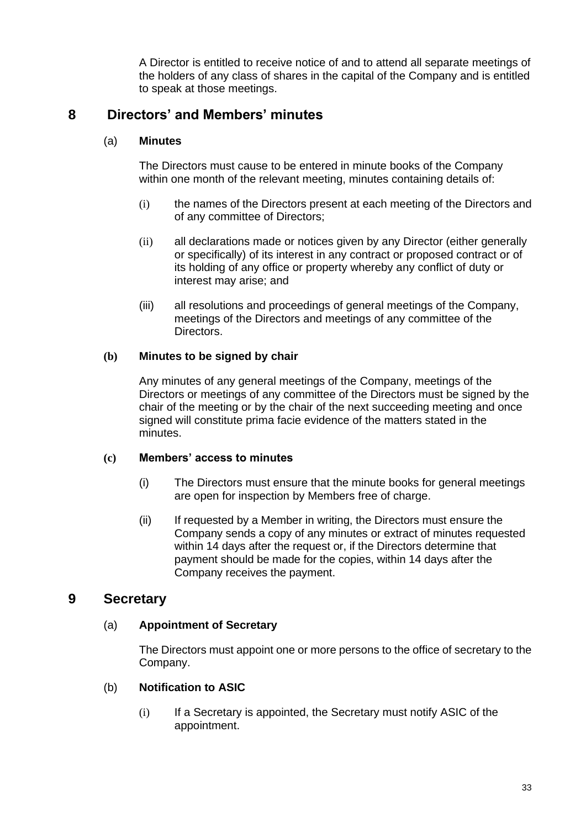A Director is entitled to receive notice of and to attend all separate meetings of the holders of any class of shares in the capital of the Company and is entitled to speak at those meetings.

# **8 Directors' and Members' minutes**

# (a) **Minutes**

The Directors must cause to be entered in minute books of the Company within one month of the relevant meeting, minutes containing details of:

- (i) the names of the Directors present at each meeting of the Directors and of any committee of Directors;
- (ii) all declarations made or notices given by any Director (either generally or specifically) of its interest in any contract or proposed contract or of its holding of any office or property whereby any conflict of duty or interest may arise; and
- (iii) all resolutions and proceedings of general meetings of the Company, meetings of the Directors and meetings of any committee of the Directors.

# **(b) Minutes to be signed by chair**

Any minutes of any general meetings of the Company, meetings of the Directors or meetings of any committee of the Directors must be signed by the chair of the meeting or by the chair of the next succeeding meeting and once signed will constitute prima facie evidence of the matters stated in the minutes.

# **(c) Members' access to minutes**

- (i) The Directors must ensure that the minute books for general meetings are open for inspection by Members free of charge.
- (ii) If requested by a Member in writing, the Directors must ensure the Company sends a copy of any minutes or extract of minutes requested within 14 days after the request or, if the Directors determine that payment should be made for the copies, within 14 days after the Company receives the payment.

# **9 Secretary**

# (a) **Appointment of Secretary**

The Directors must appoint one or more persons to the office of secretary to the Company.

# (b) **Notification to ASIC**

(i) If a Secretary is appointed, the Secretary must notify ASIC of the appointment.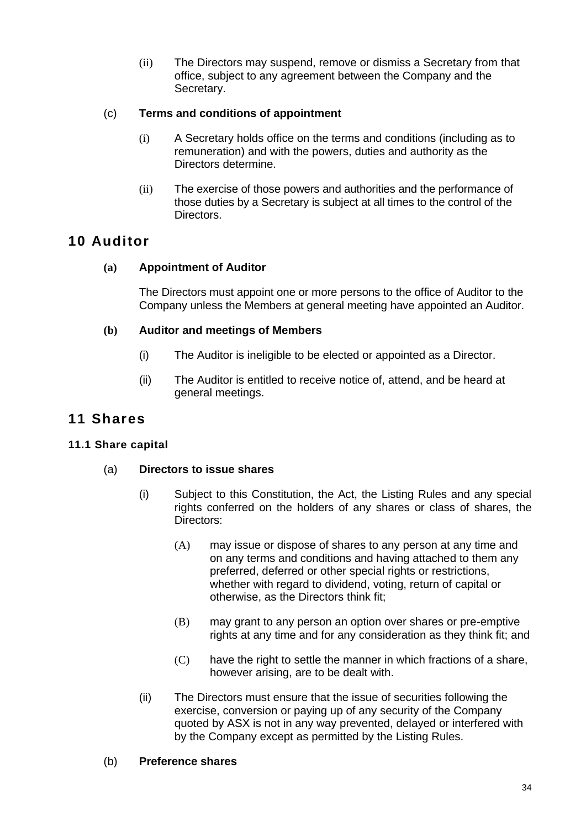(ii) The Directors may suspend, remove or dismiss a Secretary from that office, subject to any agreement between the Company and the Secretary.

# (c) **Terms and conditions of appointment**

- (i) A Secretary holds office on the terms and conditions (including as to remuneration) and with the powers, duties and authority as the Directors determine.
- (ii) The exercise of those powers and authorities and the performance of those duties by a Secretary is subject at all times to the control of the Directors.

# **10 Auditor**

# **(a) Appointment of Auditor**

The Directors must appoint one or more persons to the office of Auditor to the Company unless the Members at general meeting have appointed an Auditor.

# **(b) Auditor and meetings of Members**

- (i) The Auditor is ineligible to be elected or appointed as a Director.
- (ii) The Auditor is entitled to receive notice of, attend, and be heard at general meetings.

# **11 Shares**

# **11.1 Share capital**

# (a) **Directors to issue shares**

- (i) Subject to this Constitution, the Act, the Listing Rules and any special rights conferred on the holders of any shares or class of shares, the Directors:
	- (A) may issue or dispose of shares to any person at any time and on any terms and conditions and having attached to them any preferred, deferred or other special rights or restrictions, whether with regard to dividend, voting, return of capital or otherwise, as the Directors think fit;
	- (B) may grant to any person an option over shares or pre-emptive rights at any time and for any consideration as they think fit; and
	- (C) have the right to settle the manner in which fractions of a share, however arising, are to be dealt with.
- (ii) The Directors must ensure that the issue of securities following the exercise, conversion or paying up of any security of the Company quoted by ASX is not in any way prevented, delayed or interfered with by the Company except as permitted by the Listing Rules.

# (b) **Preference shares**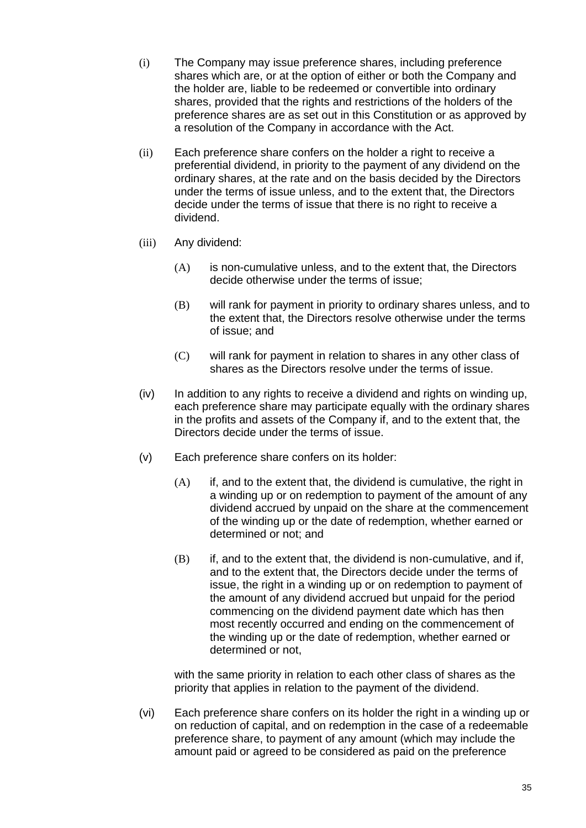- (i) The Company may issue preference shares, including preference shares which are, or at the option of either or both the Company and the holder are, liable to be redeemed or convertible into ordinary shares, provided that the rights and restrictions of the holders of the preference shares are as set out in this Constitution or as approved by a resolution of the Company in accordance with the Act.
- (ii) Each preference share confers on the holder a right to receive a preferential dividend, in priority to the payment of any dividend on the ordinary shares, at the rate and on the basis decided by the Directors under the terms of issue unless, and to the extent that, the Directors decide under the terms of issue that there is no right to receive a dividend.
- (iii) Any dividend:
	- (A) is non-cumulative unless, and to the extent that, the Directors decide otherwise under the terms of issue;
	- (B) will rank for payment in priority to ordinary shares unless, and to the extent that, the Directors resolve otherwise under the terms of issue; and
	- (C) will rank for payment in relation to shares in any other class of shares as the Directors resolve under the terms of issue.
- (iv) In addition to any rights to receive a dividend and rights on winding up, each preference share may participate equally with the ordinary shares in the profits and assets of the Company if, and to the extent that, the Directors decide under the terms of issue.
- (v) Each preference share confers on its holder:
	- $(A)$  if, and to the extent that, the dividend is cumulative, the right in a winding up or on redemption to payment of the amount of any dividend accrued by unpaid on the share at the commencement of the winding up or the date of redemption, whether earned or determined or not; and
	- (B) if, and to the extent that, the dividend is non-cumulative, and if, and to the extent that, the Directors decide under the terms of issue, the right in a winding up or on redemption to payment of the amount of any dividend accrued but unpaid for the period commencing on the dividend payment date which has then most recently occurred and ending on the commencement of the winding up or the date of redemption, whether earned or determined or not,

with the same priority in relation to each other class of shares as the priority that applies in relation to the payment of the dividend.

(vi) Each preference share confers on its holder the right in a winding up or on reduction of capital, and on redemption in the case of a redeemable preference share, to payment of any amount (which may include the amount paid or agreed to be considered as paid on the preference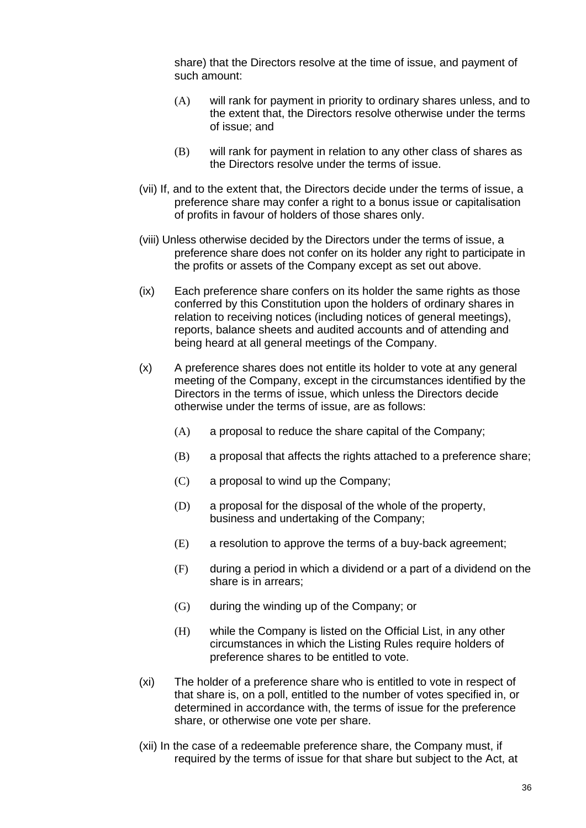share) that the Directors resolve at the time of issue, and payment of such amount:

- (A) will rank for payment in priority to ordinary shares unless, and to the extent that, the Directors resolve otherwise under the terms of issue; and
- (B) will rank for payment in relation to any other class of shares as the Directors resolve under the terms of issue.
- (vii) If, and to the extent that, the Directors decide under the terms of issue, a preference share may confer a right to a bonus issue or capitalisation of profits in favour of holders of those shares only.
- (viii) Unless otherwise decided by the Directors under the terms of issue, a preference share does not confer on its holder any right to participate in the profits or assets of the Company except as set out above.
- (ix) Each preference share confers on its holder the same rights as those conferred by this Constitution upon the holders of ordinary shares in relation to receiving notices (including notices of general meetings), reports, balance sheets and audited accounts and of attending and being heard at all general meetings of the Company.
- (x) A preference shares does not entitle its holder to vote at any general meeting of the Company, except in the circumstances identified by the Directors in the terms of issue, which unless the Directors decide otherwise under the terms of issue, are as follows:
	- (A) a proposal to reduce the share capital of the Company;
	- (B) a proposal that affects the rights attached to a preference share;
	- (C) a proposal to wind up the Company;
	- (D) a proposal for the disposal of the whole of the property, business and undertaking of the Company;
	- (E) a resolution to approve the terms of a buy-back agreement;
	- (F) during a period in which a dividend or a part of a dividend on the share is in arrears;
	- (G) during the winding up of the Company; or
	- (H) while the Company is listed on the Official List, in any other circumstances in which the Listing Rules require holders of preference shares to be entitled to vote.
- (xi) The holder of a preference share who is entitled to vote in respect of that share is, on a poll, entitled to the number of votes specified in, or determined in accordance with, the terms of issue for the preference share, or otherwise one vote per share.
- (xii) In the case of a redeemable preference share, the Company must, if required by the terms of issue for that share but subject to the Act, at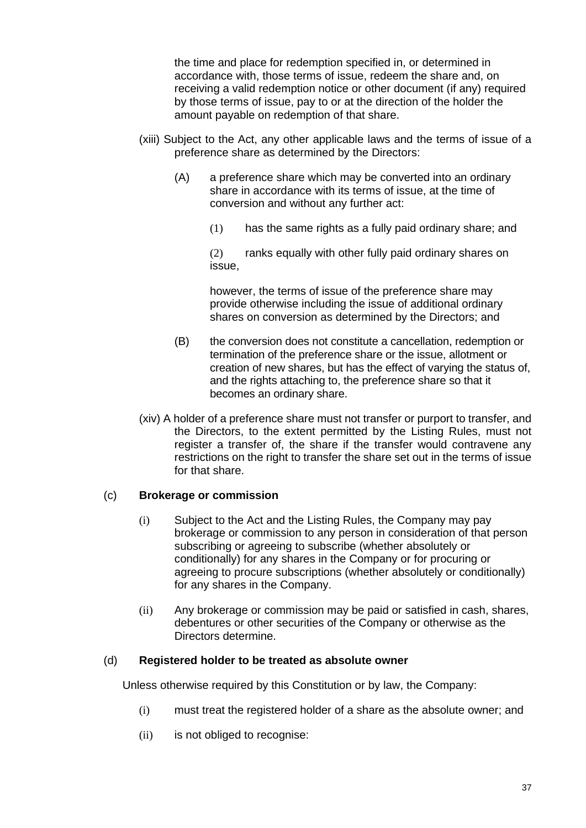the time and place for redemption specified in, or determined in accordance with, those terms of issue, redeem the share and, on receiving a valid redemption notice or other document (if any) required by those terms of issue, pay to or at the direction of the holder the amount payable on redemption of that share.

- (xiii) Subject to the Act, any other applicable laws and the terms of issue of a preference share as determined by the Directors:
	- (A) a preference share which may be converted into an ordinary share in accordance with its terms of issue, at the time of conversion and without any further act:
		- (1) has the same rights as a fully paid ordinary share; and

(2) ranks equally with other fully paid ordinary shares on issue,

however, the terms of issue of the preference share may provide otherwise including the issue of additional ordinary shares on conversion as determined by the Directors; and

- (B) the conversion does not constitute a cancellation, redemption or termination of the preference share or the issue, allotment or creation of new shares, but has the effect of varying the status of, and the rights attaching to, the preference share so that it becomes an ordinary share.
- (xiv) A holder of a preference share must not transfer or purport to transfer, and the Directors, to the extent permitted by the Listing Rules, must not register a transfer of, the share if the transfer would contravene any restrictions on the right to transfer the share set out in the terms of issue for that share.

#### (c) **Brokerage or commission**

- (i) Subject to the Act and the Listing Rules, the Company may pay brokerage or commission to any person in consideration of that person subscribing or agreeing to subscribe (whether absolutely or conditionally) for any shares in the Company or for procuring or agreeing to procure subscriptions (whether absolutely or conditionally) for any shares in the Company.
- (ii) Any brokerage or commission may be paid or satisfied in cash, shares, debentures or other securities of the Company or otherwise as the Directors determine.

#### (d) **Registered holder to be treated as absolute owner**

Unless otherwise required by this Constitution or by law, the Company:

- (i) must treat the registered holder of a share as the absolute owner; and
- (ii) is not obliged to recognise: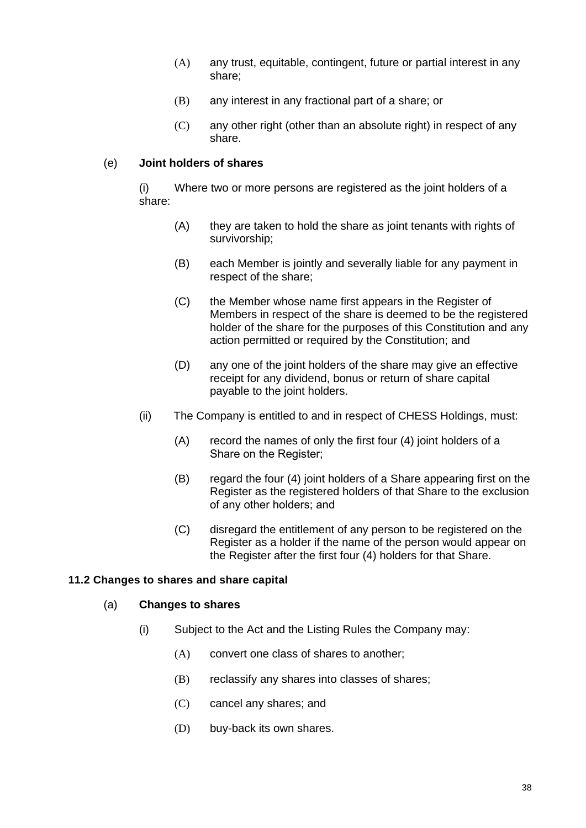- (A) any trust, equitable, contingent, future or partial interest in any share;
- (B) any interest in any fractional part of a share; or
- (C) any other right (other than an absolute right) in respect of any share.

#### (e) **Joint holders of shares**

(i) Where two or more persons are registered as the joint holders of a share:

- (A) they are taken to hold the share as joint tenants with rights of survivorship;
- (B) each Member is jointly and severally liable for any payment in respect of the share;
- (C) the Member whose name first appears in the Register of Members in respect of the share is deemed to be the registered holder of the share for the purposes of this Constitution and any action permitted or required by the Constitution; and
- (D) any one of the joint holders of the share may give an effective receipt for any dividend, bonus or return of share capital payable to the joint holders.
- (ii) The Company is entitled to and in respect of CHESS Holdings, must:
	- (A) record the names of only the first four (4) joint holders of a Share on the Register;
	- (B) regard the four (4) joint holders of a Share appearing first on the Register as the registered holders of that Share to the exclusion of any other holders; and
	- (C) disregard the entitlement of any person to be registered on the Register as a holder if the name of the person would appear on the Register after the first four (4) holders for that Share.

#### **11.2 Changes to shares and share capital**

#### (a) **Changes to shares**

- (i) Subject to the Act and the Listing Rules the Company may:
	- (A) convert one class of shares to another;
	- (B) reclassify any shares into classes of shares;
	- (C) cancel any shares; and
	- (D) buy-back its own shares.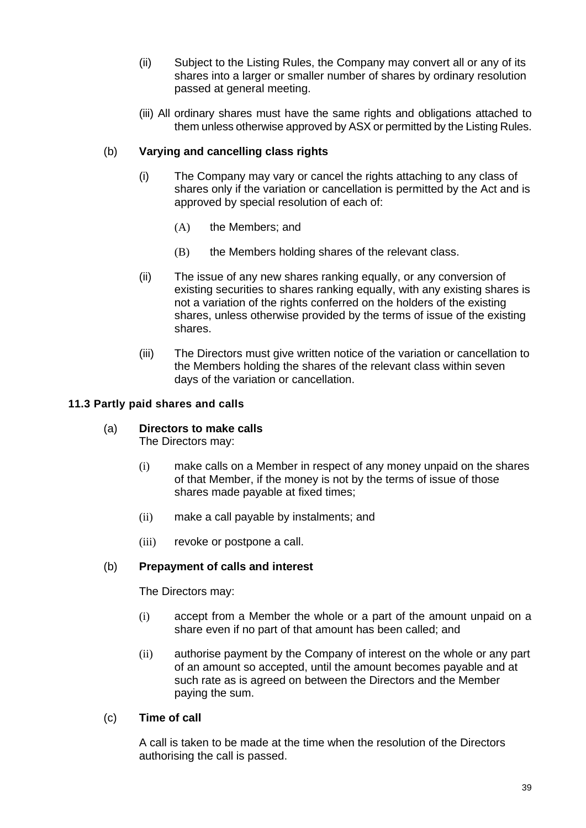- (ii) Subject to the Listing Rules, the Company may convert all or any of its shares into a larger or smaller number of shares by ordinary resolution passed at general meeting.
- (iii) All ordinary shares must have the same rights and obligations attached to them unless otherwise approved by ASX or permitted by the Listing Rules.

# (b) **Varying and cancelling class rights**

- (i) The Company may vary or cancel the rights attaching to any class of shares only if the variation or cancellation is permitted by the Act and is approved by special resolution of each of:
	- (A) the Members; and
	- (B) the Members holding shares of the relevant class.
- (ii) The issue of any new shares ranking equally, or any conversion of existing securities to shares ranking equally, with any existing shares is not a variation of the rights conferred on the holders of the existing shares, unless otherwise provided by the terms of issue of the existing shares.
- (iii) The Directors must give written notice of the variation or cancellation to the Members holding the shares of the relevant class within seven days of the variation or cancellation.

# **11.3 Partly paid shares and calls**

- (a) **Directors to make calls** 
	- The Directors may:
	- (i) make calls on a Member in respect of any money unpaid on the shares of that Member, if the money is not by the terms of issue of those shares made payable at fixed times;
	- (ii) make a call payable by instalments; and
	- (iii) revoke or postpone a call.

# (b) **Prepayment of calls and interest**

The Directors may:

- (i) accept from a Member the whole or a part of the amount unpaid on a share even if no part of that amount has been called; and
- (ii) authorise payment by the Company of interest on the whole or any part of an amount so accepted, until the amount becomes payable and at such rate as is agreed on between the Directors and the Member paying the sum.

#### (c) **Time of call**

A call is taken to be made at the time when the resolution of the Directors authorising the call is passed.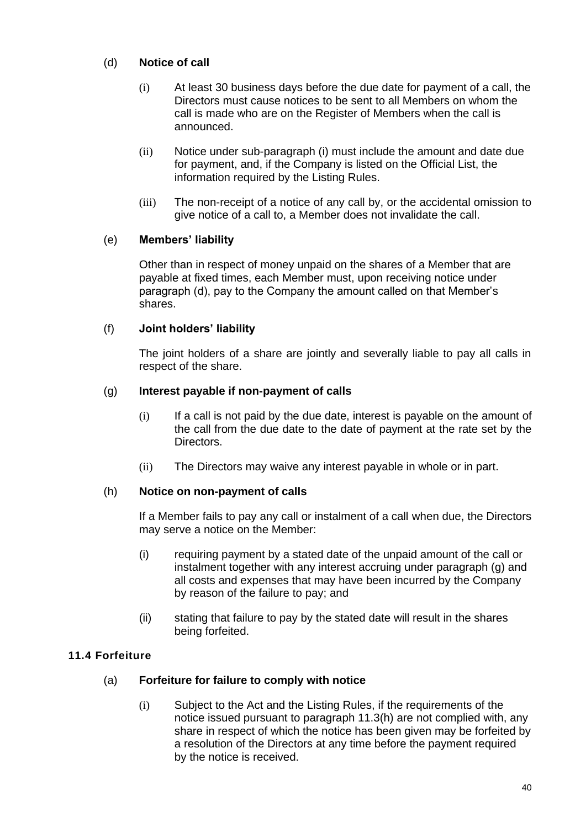# (d) **Notice of call**

- (i) At least 30 business days before the due date for payment of a call, the Directors must cause notices to be sent to all Members on whom the call is made who are on the Register of Members when the call is announced.
- (ii) Notice under sub-paragraph (i) must include the amount and date due for payment, and, if the Company is listed on the Official List, the information required by the Listing Rules.
- (iii) The non-receipt of a notice of any call by, or the accidental omission to give notice of a call to, a Member does not invalidate the call.

# (e) **Members' liability**

Other than in respect of money unpaid on the shares of a Member that are payable at fixed times, each Member must, upon receiving notice under paragraph (d), pay to the Company the amount called on that Member's shares.

# (f) **Joint holders' liability**

The joint holders of a share are jointly and severally liable to pay all calls in respect of the share.

# (g) **Interest payable if non-payment of calls**

- (i) If a call is not paid by the due date, interest is payable on the amount of the call from the due date to the date of payment at the rate set by the Directors.
- (ii) The Directors may waive any interest payable in whole or in part.

# (h) **Notice on non-payment of calls**

If a Member fails to pay any call or instalment of a call when due, the Directors may serve a notice on the Member:

- (i) requiring payment by a stated date of the unpaid amount of the call or instalment together with any interest accruing under paragraph (g) and all costs and expenses that may have been incurred by the Company by reason of the failure to pay; and
- (ii) stating that failure to pay by the stated date will result in the shares being forfeited.

# **11.4 Forfeiture**

#### (a) **Forfeiture for failure to comply with notice**

(i) Subject to the Act and the Listing Rules, if the requirements of the notice issued pursuant to paragraph 11.3(h) are not complied with, any share in respect of which the notice has been given may be forfeited by a resolution of the Directors at any time before the payment required by the notice is received.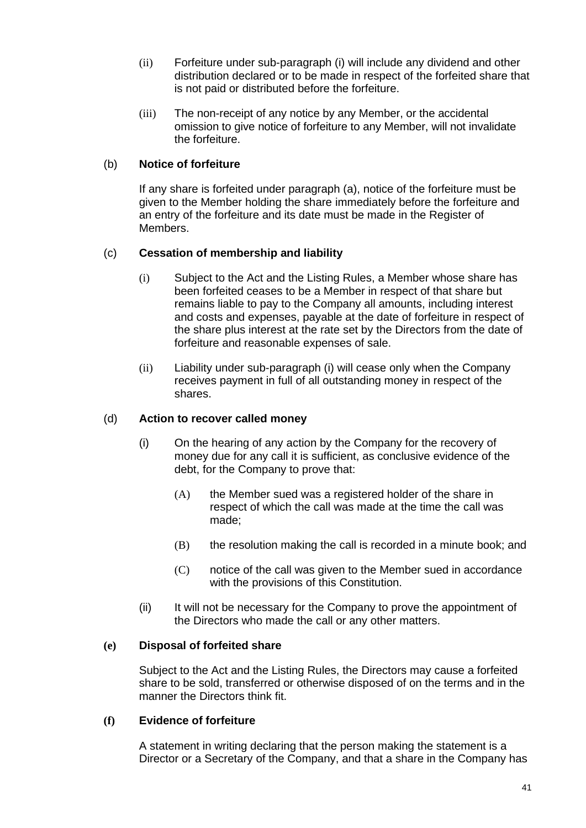- (ii) Forfeiture under sub-paragraph (i) will include any dividend and other distribution declared or to be made in respect of the forfeited share that is not paid or distributed before the forfeiture.
- (iii) The non-receipt of any notice by any Member, or the accidental omission to give notice of forfeiture to any Member, will not invalidate the forfeiture.

# (b) **Notice of forfeiture**

If any share is forfeited under paragraph (a), notice of the forfeiture must be given to the Member holding the share immediately before the forfeiture and an entry of the forfeiture and its date must be made in the Register of Members.

# (c) **Cessation of membership and liability**

- (i) Subject to the Act and the Listing Rules, a Member whose share has been forfeited ceases to be a Member in respect of that share but remains liable to pay to the Company all amounts, including interest and costs and expenses, payable at the date of forfeiture in respect of the share plus interest at the rate set by the Directors from the date of forfeiture and reasonable expenses of sale.
- (ii) Liability under sub-paragraph (i) will cease only when the Company receives payment in full of all outstanding money in respect of the shares.

#### (d) **Action to recover called money**

- (i) On the hearing of any action by the Company for the recovery of money due for any call it is sufficient, as conclusive evidence of the debt, for the Company to prove that:
	- (A) the Member sued was a registered holder of the share in respect of which the call was made at the time the call was made;
	- (B) the resolution making the call is recorded in a minute book; and
	- (C) notice of the call was given to the Member sued in accordance with the provisions of this Constitution.
- (ii) It will not be necessary for the Company to prove the appointment of the Directors who made the call or any other matters.

#### **(e) Disposal of forfeited share**

Subject to the Act and the Listing Rules, the Directors may cause a forfeited share to be sold, transferred or otherwise disposed of on the terms and in the manner the Directors think fit.

#### **(f) Evidence of forfeiture**

A statement in writing declaring that the person making the statement is a Director or a Secretary of the Company, and that a share in the Company has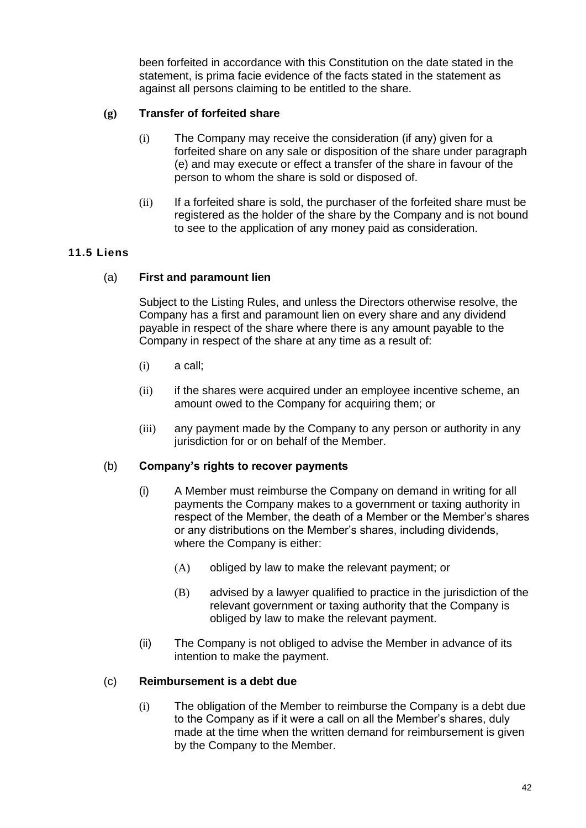been forfeited in accordance with this Constitution on the date stated in the statement, is prima facie evidence of the facts stated in the statement as against all persons claiming to be entitled to the share.

# **(g) Transfer of forfeited share**

- (i) The Company may receive the consideration (if any) given for a forfeited share on any sale or disposition of the share under paragraph (e) and may execute or effect a transfer of the share in favour of the person to whom the share is sold or disposed of.
- (ii) If a forfeited share is sold, the purchaser of the forfeited share must be registered as the holder of the share by the Company and is not bound to see to the application of any money paid as consideration.

# **11.5 Liens**

# (a) **First and paramount lien**

Subject to the Listing Rules, and unless the Directors otherwise resolve, the Company has a first and paramount lien on every share and any dividend payable in respect of the share where there is any amount payable to the Company in respect of the share at any time as a result of:

- $(i)$  a call;
- (ii) if the shares were acquired under an employee incentive scheme, an amount owed to the Company for acquiring them; or
- (iii) any payment made by the Company to any person or authority in any jurisdiction for or on behalf of the Member.

#### (b) **Company's rights to recover payments**

- (i) A Member must reimburse the Company on demand in writing for all payments the Company makes to a government or taxing authority in respect of the Member, the death of a Member or the Member's shares or any distributions on the Member's shares, including dividends, where the Company is either:
	- (A) obliged by law to make the relevant payment; or
	- (B) advised by a lawyer qualified to practice in the jurisdiction of the relevant government or taxing authority that the Company is obliged by law to make the relevant payment.
- (ii) The Company is not obliged to advise the Member in advance of its intention to make the payment.

#### (c) **Reimbursement is a debt due**

(i) The obligation of the Member to reimburse the Company is a debt due to the Company as if it were a call on all the Member's shares, duly made at the time when the written demand for reimbursement is given by the Company to the Member.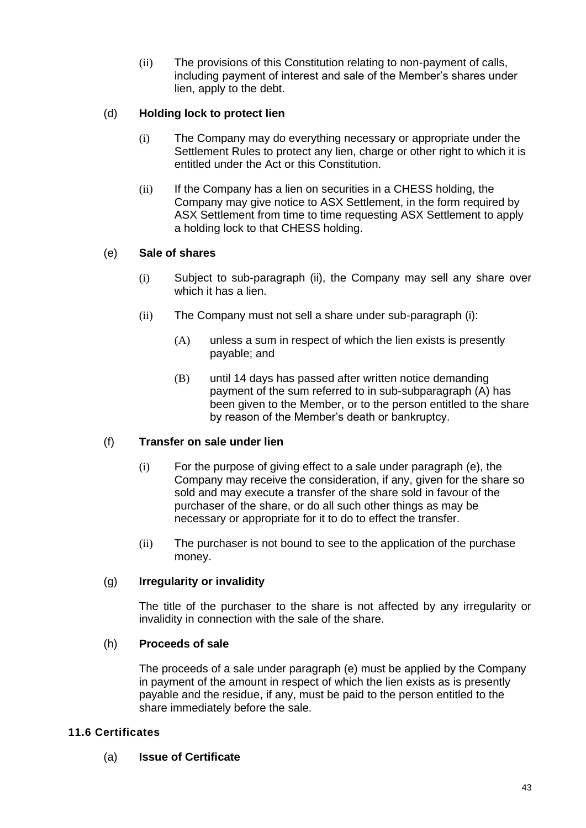(ii) The provisions of this Constitution relating to non-payment of calls, including payment of interest and sale of the Member's shares under lien, apply to the debt.

# (d) **Holding lock to protect lien**

- (i) The Company may do everything necessary or appropriate under the Settlement Rules to protect any lien, charge or other right to which it is entitled under the Act or this Constitution.
- (ii) If the Company has a lien on securities in a CHESS holding, the Company may give notice to ASX Settlement, in the form required by ASX Settlement from time to time requesting ASX Settlement to apply a holding lock to that CHESS holding.

# (e) **Sale of shares**

- (i) Subject to sub-paragraph (ii), the Company may sell any share over which it has a lien.
- (ii) The Company must not sell a share under sub-paragraph (i):
	- (A) unless a sum in respect of which the lien exists is presently payable; and
	- (B) until 14 days has passed after written notice demanding payment of the sum referred to in sub-subparagraph (A) has been given to the Member, or to the person entitled to the share by reason of the Member's death or bankruptcy.

# (f) **Transfer on sale under lien**

- (i) For the purpose of giving effect to a sale under paragraph (e), the Company may receive the consideration, if any, given for the share so sold and may execute a transfer of the share sold in favour of the purchaser of the share, or do all such other things as may be necessary or appropriate for it to do to effect the transfer.
- (ii) The purchaser is not bound to see to the application of the purchase money.

#### (g) **Irregularity or invalidity**

The title of the purchaser to the share is not affected by any irregularity or invalidity in connection with the sale of the share.

#### (h) **Proceeds of sale**

The proceeds of a sale under paragraph (e) must be applied by the Company in payment of the amount in respect of which the lien exists as is presently payable and the residue, if any, must be paid to the person entitled to the share immediately before the sale.

#### **11.6 Certificates**

(a) **Issue of Certificate**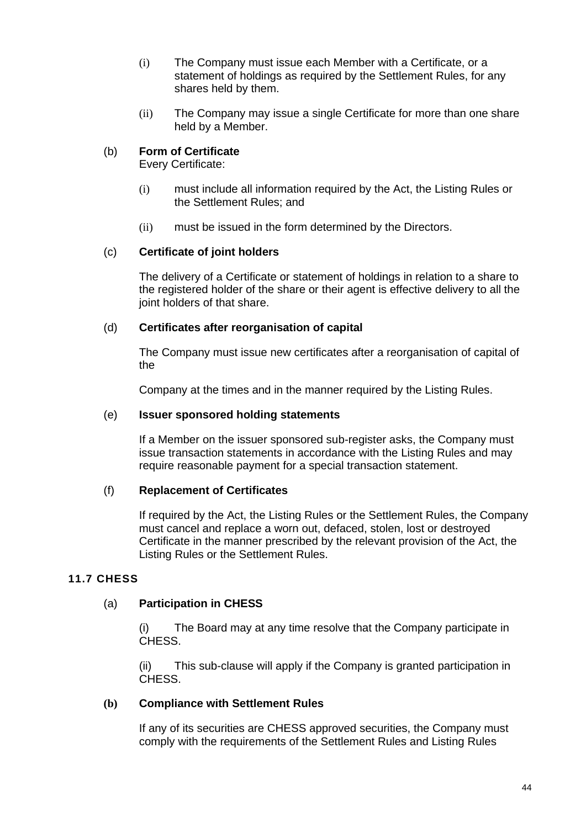- (i) The Company must issue each Member with a Certificate, or a statement of holdings as required by the Settlement Rules, for any shares held by them.
- (ii) The Company may issue a single Certificate for more than one share held by a Member.

# (b) **Form of Certificate**

Every Certificate:

- (i) must include all information required by the Act, the Listing Rules or the Settlement Rules; and
- (ii) must be issued in the form determined by the Directors.

# (c) **Certificate of joint holders**

The delivery of a Certificate or statement of holdings in relation to a share to the registered holder of the share or their agent is effective delivery to all the joint holders of that share.

# (d) **Certificates after reorganisation of capital**

The Company must issue new certificates after a reorganisation of capital of the

Company at the times and in the manner required by the Listing Rules.

#### (e) **Issuer sponsored holding statements**

If a Member on the issuer sponsored sub-register asks, the Company must issue transaction statements in accordance with the Listing Rules and may require reasonable payment for a special transaction statement.

#### (f) **Replacement of Certificates**

If required by the Act, the Listing Rules or the Settlement Rules, the Company must cancel and replace a worn out, defaced, stolen, lost or destroyed Certificate in the manner prescribed by the relevant provision of the Act, the Listing Rules or the Settlement Rules.

# **11.7 CHESS**

#### (a) **Participation in CHESS**

(i) The Board may at any time resolve that the Company participate in CHESS.

(ii) This sub-clause will apply if the Company is granted participation in CHESS.

#### **(b) Compliance with Settlement Rules**

If any of its securities are CHESS approved securities, the Company must comply with the requirements of the Settlement Rules and Listing Rules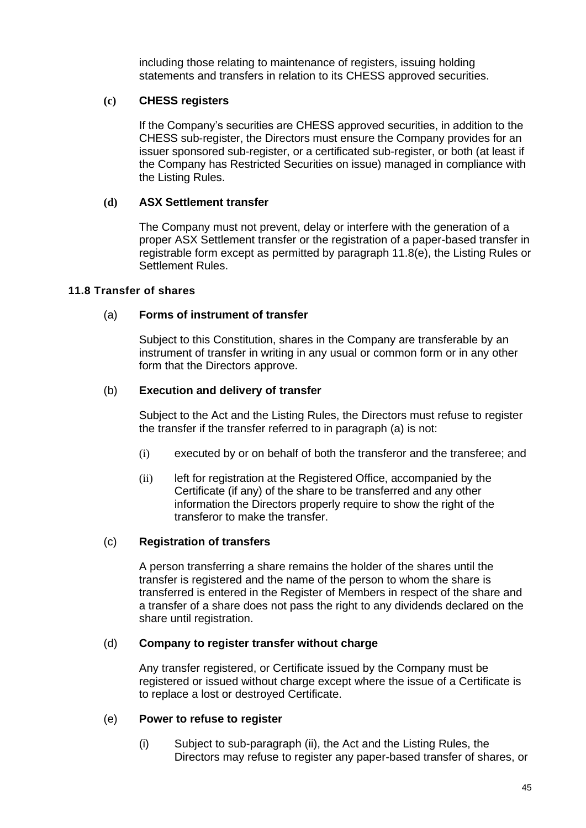including those relating to maintenance of registers, issuing holding statements and transfers in relation to its CHESS approved securities.

# **(c) CHESS registers**

If the Company's securities are CHESS approved securities, in addition to the CHESS sub-register, the Directors must ensure the Company provides for an issuer sponsored sub-register, or a certificated sub-register, or both (at least if the Company has Restricted Securities on issue) managed in compliance with the Listing Rules.

# **(d) ASX Settlement transfer**

The Company must not prevent, delay or interfere with the generation of a proper ASX Settlement transfer or the registration of a paper-based transfer in registrable form except as permitted by paragraph 11.8(e), the Listing Rules or Settlement Rules.

#### **11.8 Transfer of shares**

# (a) **Forms of instrument of transfer**

Subject to this Constitution, shares in the Company are transferable by an instrument of transfer in writing in any usual or common form or in any other form that the Directors approve.

# (b) **Execution and delivery of transfer**

Subject to the Act and the Listing Rules, the Directors must refuse to register the transfer if the transfer referred to in paragraph (a) is not:

- (i) executed by or on behalf of both the transferor and the transferee; and
- (ii) left for registration at the Registered Office, accompanied by the Certificate (if any) of the share to be transferred and any other information the Directors properly require to show the right of the transferor to make the transfer.

#### (c) **Registration of transfers**

A person transferring a share remains the holder of the shares until the transfer is registered and the name of the person to whom the share is transferred is entered in the Register of Members in respect of the share and a transfer of a share does not pass the right to any dividends declared on the share until registration.

#### (d) **Company to register transfer without charge**

Any transfer registered, or Certificate issued by the Company must be registered or issued without charge except where the issue of a Certificate is to replace a lost or destroyed Certificate.

#### (e) **Power to refuse to register**

(i) Subject to sub-paragraph (ii), the Act and the Listing Rules, the Directors may refuse to register any paper-based transfer of shares, or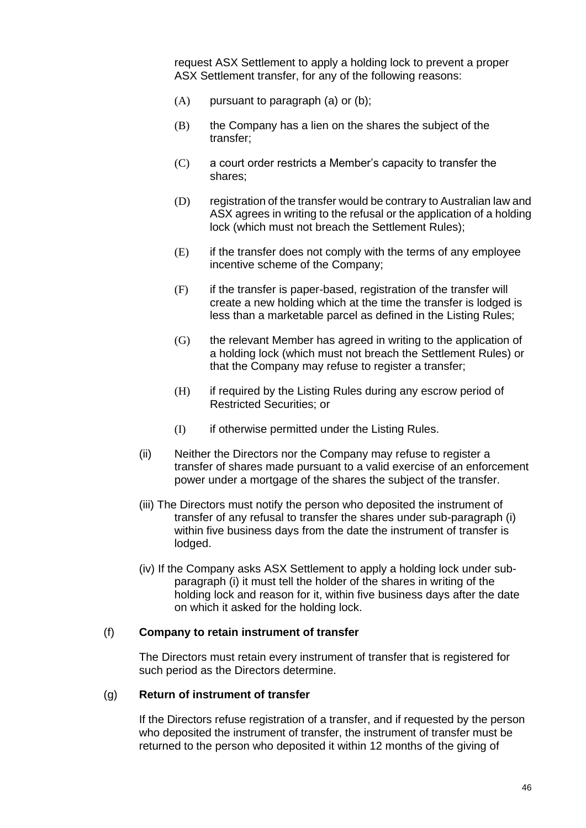request ASX Settlement to apply a holding lock to prevent a proper ASX Settlement transfer, for any of the following reasons:

- $(A)$  pursuant to paragraph  $(a)$  or  $(b)$ ;
- $(B)$  the Company has a lien on the shares the subject of the transfer;
- (C) a court order restricts a Member's capacity to transfer the shares;
- (D) registration of the transfer would be contrary to Australian law and ASX agrees in writing to the refusal or the application of a holding lock (which must not breach the Settlement Rules);
- (E) if the transfer does not comply with the terms of any employee incentive scheme of the Company;
- (F) if the transfer is paper-based, registration of the transfer will create a new holding which at the time the transfer is lodged is less than a marketable parcel as defined in the Listing Rules;
- (G) the relevant Member has agreed in writing to the application of a holding lock (which must not breach the Settlement Rules) or that the Company may refuse to register a transfer;
- (H) if required by the Listing Rules during any escrow period of Restricted Securities; or
- (I) if otherwise permitted under the Listing Rules.
- (ii) Neither the Directors nor the Company may refuse to register a transfer of shares made pursuant to a valid exercise of an enforcement power under a mortgage of the shares the subject of the transfer.
- (iii) The Directors must notify the person who deposited the instrument of transfer of any refusal to transfer the shares under sub-paragraph (i) within five business days from the date the instrument of transfer is lodged.
- (iv) If the Company asks ASX Settlement to apply a holding lock under subparagraph (i) it must tell the holder of the shares in writing of the holding lock and reason for it, within five business days after the date on which it asked for the holding lock.

#### (f) **Company to retain instrument of transfer**

The Directors must retain every instrument of transfer that is registered for such period as the Directors determine.

#### (g) **Return of instrument of transfer**

If the Directors refuse registration of a transfer, and if requested by the person who deposited the instrument of transfer, the instrument of transfer must be returned to the person who deposited it within 12 months of the giving of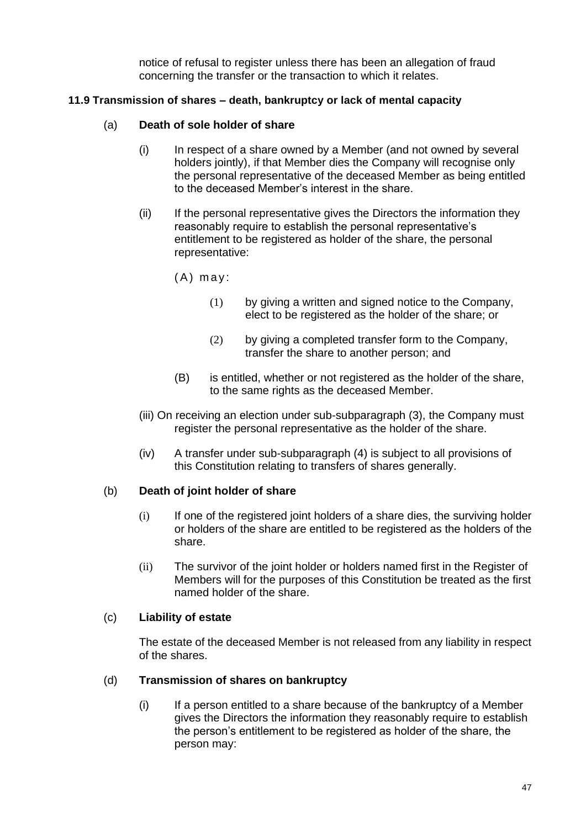notice of refusal to register unless there has been an allegation of fraud concerning the transfer or the transaction to which it relates.

# **11.9 Transmission of shares – death, bankruptcy or lack of mental capacity**

# (a) **Death of sole holder of share**

- (i) In respect of a share owned by a Member (and not owned by several holders jointly), if that Member dies the Company will recognise only the personal representative of the deceased Member as being entitled to the deceased Member's interest in the share.
- (ii) If the personal representative gives the Directors the information they reasonably require to establish the personal representative's entitlement to be registered as holder of the share, the personal representative:
	- $(A)$  may:
		- (1) by giving a written and signed notice to the Company, elect to be registered as the holder of the share; or
		- (2) by giving a completed transfer form to the Company, transfer the share to another person; and
	- (B) is entitled, whether or not registered as the holder of the share, to the same rights as the deceased Member.
- (iii) On receiving an election under sub-subparagraph (3), the Company must register the personal representative as the holder of the share.
- (iv) A transfer under sub-subparagraph (4) is subject to all provisions of this Constitution relating to transfers of shares generally.

#### (b) **Death of joint holder of share**

- (i) If one of the registered joint holders of a share dies, the surviving holder or holders of the share are entitled to be registered as the holders of the share.
- (ii) The survivor of the joint holder or holders named first in the Register of Members will for the purposes of this Constitution be treated as the first named holder of the share.

#### (c) **Liability of estate**

The estate of the deceased Member is not released from any liability in respect of the shares.

#### (d) **Transmission of shares on bankruptcy**

(i) If a person entitled to a share because of the bankruptcy of a Member gives the Directors the information they reasonably require to establish the person's entitlement to be registered as holder of the share, the person may: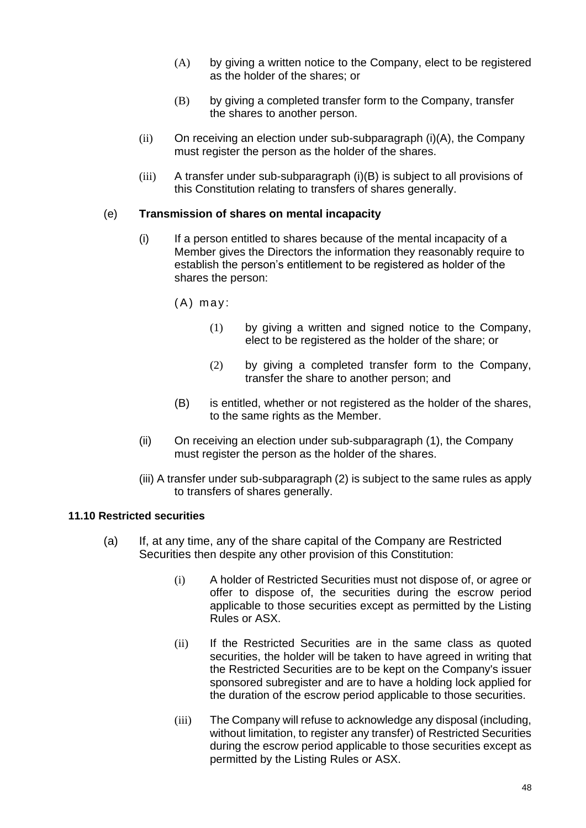- (A) by giving a written notice to the Company, elect to be registered as the holder of the shares; or
- (B) by giving a completed transfer form to the Company, transfer the shares to another person.
- (ii) On receiving an election under sub-subparagraph (i)(A), the Company must register the person as the holder of the shares.
- (iii) A transfer under sub-subparagraph (i)(B) is subject to all provisions of this Constitution relating to transfers of shares generally.

#### (e) **Transmission of shares on mental incapacity**

- (i) If a person entitled to shares because of the mental incapacity of a Member gives the Directors the information they reasonably require to establish the person's entitlement to be registered as holder of the shares the person:
	- $(A)$  may:
		- (1) by giving a written and signed notice to the Company, elect to be registered as the holder of the share; or
		- (2) by giving a completed transfer form to the Company, transfer the share to another person; and
	- (B) is entitled, whether or not registered as the holder of the shares, to the same rights as the Member.
- (ii) On receiving an election under sub-subparagraph (1), the Company must register the person as the holder of the shares.
- (iii) A transfer under sub-subparagraph (2) is subject to the same rules as apply to transfers of shares generally.

#### **11.10 Restricted securities**

- (a) If, at any time, any of the share capital of the Company are Restricted Securities then despite any other provision of this Constitution:
	- (i) A holder of Restricted Securities must not dispose of, or agree or offer to dispose of, the securities during the escrow period applicable to those securities except as permitted by the Listing Rules or ASX.
	- (ii) If the Restricted Securities are in the same class as quoted securities, the holder will be taken to have agreed in writing that the Restricted Securities are to be kept on the Company's issuer sponsored subregister and are to have a holding lock applied for the duration of the escrow period applicable to those securities.
	- (iii) The Company will refuse to acknowledge any disposal (including, without limitation, to register any transfer) of Restricted Securities during the escrow period applicable to those securities except as permitted by the Listing Rules or ASX.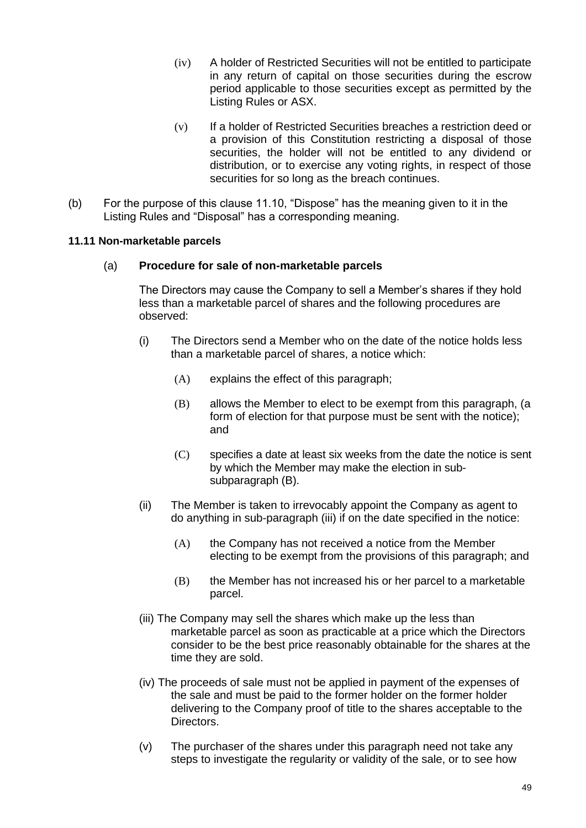- (iv) A holder of Restricted Securities will not be entitled to participate in any return of capital on those securities during the escrow period applicable to those securities except as permitted by the Listing Rules or ASX.
- (v) If a holder of Restricted Securities breaches a restriction deed or a provision of this Constitution restricting a disposal of those securities, the holder will not be entitled to any dividend or distribution, or to exercise any voting rights, in respect of those securities for so long as the breach continues.
- (b) For the purpose of this clause 11.10, "Dispose" has the meaning given to it in the Listing Rules and "Disposal" has a corresponding meaning.

#### **11.11 Non-marketable parcels**

# (a) **Procedure for sale of non-marketable parcels**

The Directors may cause the Company to sell a Member's shares if they hold less than a marketable parcel of shares and the following procedures are observed:

- (i) The Directors send a Member who on the date of the notice holds less than a marketable parcel of shares, a notice which:
	- (A) explains the effect of this paragraph;
	- (B) allows the Member to elect to be exempt from this paragraph, (a form of election for that purpose must be sent with the notice); and
	- (C) specifies a date at least six weeks from the date the notice is sent by which the Member may make the election in subsubparagraph (B).
- (ii) The Member is taken to irrevocably appoint the Company as agent to do anything in sub-paragraph (iii) if on the date specified in the notice:
	- (A) the Company has not received a notice from the Member electing to be exempt from the provisions of this paragraph; and
	- (B) the Member has not increased his or her parcel to a marketable parcel.
- (iii) The Company may sell the shares which make up the less than marketable parcel as soon as practicable at a price which the Directors consider to be the best price reasonably obtainable for the shares at the time they are sold.
- (iv) The proceeds of sale must not be applied in payment of the expenses of the sale and must be paid to the former holder on the former holder delivering to the Company proof of title to the shares acceptable to the Directors.
- (v) The purchaser of the shares under this paragraph need not take any steps to investigate the regularity or validity of the sale, or to see how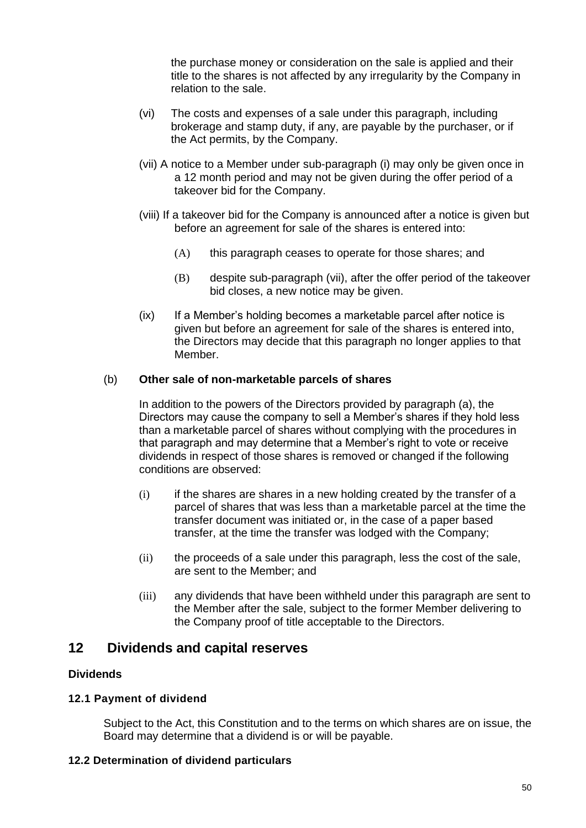the purchase money or consideration on the sale is applied and their title to the shares is not affected by any irregularity by the Company in relation to the sale.

- (vi) The costs and expenses of a sale under this paragraph, including brokerage and stamp duty, if any, are payable by the purchaser, or if the Act permits, by the Company.
- (vii) A notice to a Member under sub-paragraph (i) may only be given once in a 12 month period and may not be given during the offer period of a takeover bid for the Company.
- (viii) If a takeover bid for the Company is announced after a notice is given but before an agreement for sale of the shares is entered into:
	- (A) this paragraph ceases to operate for those shares; and
	- (B) despite sub-paragraph (vii), after the offer period of the takeover bid closes, a new notice may be given.
- (ix) If a Member's holding becomes a marketable parcel after notice is given but before an agreement for sale of the shares is entered into, the Directors may decide that this paragraph no longer applies to that Member.

# (b) **Other sale of non-marketable parcels of shares**

In addition to the powers of the Directors provided by paragraph (a), the Directors may cause the company to sell a Member's shares if they hold less than a marketable parcel of shares without complying with the procedures in that paragraph and may determine that a Member's right to vote or receive dividends in respect of those shares is removed or changed if the following conditions are observed:

- $(i)$  if the shares are shares in a new holding created by the transfer of a parcel of shares that was less than a marketable parcel at the time the transfer document was initiated or, in the case of a paper based transfer, at the time the transfer was lodged with the Company;
- (ii) the proceeds of a sale under this paragraph, less the cost of the sale, are sent to the Member; and
- (iii) any dividends that have been withheld under this paragraph are sent to the Member after the sale, subject to the former Member delivering to the Company proof of title acceptable to the Directors.

# **12 Dividends and capital reserves**

# **Dividends**

# **12.1 Payment of dividend**

Subject to the Act, this Constitution and to the terms on which shares are on issue, the Board may determine that a dividend is or will be payable.

#### **12.2 Determination of dividend particulars**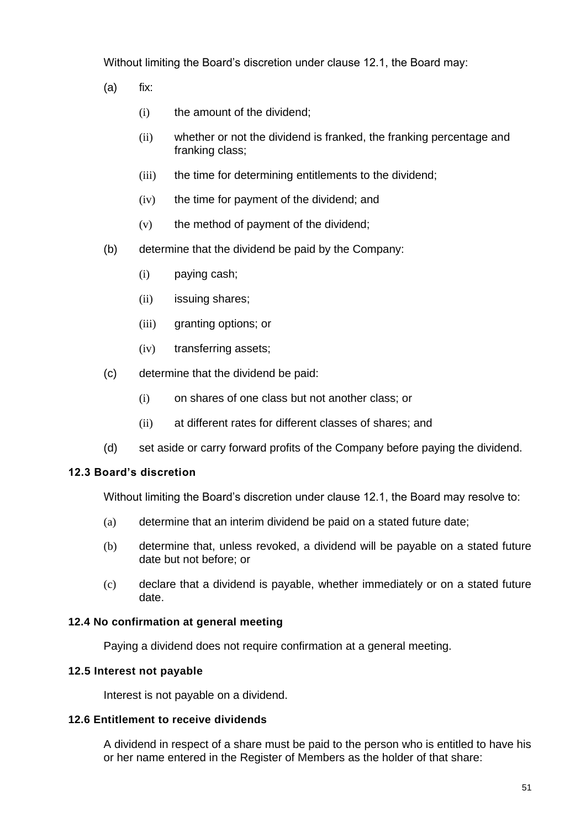Without limiting the Board's discretion under clause 12.1, the Board may:

- (a) fix:
	- (i) the amount of the dividend;
	- (ii) whether or not the dividend is franked, the franking percentage and franking class;
	- (iii) the time for determining entitlements to the dividend;
	- (iv) the time for payment of the dividend; and
	- (v) the method of payment of the dividend;
- (b) determine that the dividend be paid by the Company:
	- (i) paying cash;
	- (ii) issuing shares;
	- (iii) granting options; or
	- (iv) transferring assets;
- (c) determine that the dividend be paid:
	- (i) on shares of one class but not another class; or
	- (ii) at different rates for different classes of shares; and
- (d) set aside or carry forward profits of the Company before paying the dividend.

#### **12.3 Board's discretion**

Without limiting the Board's discretion under clause 12.1, the Board may resolve to:

- (a) determine that an interim dividend be paid on a stated future date;
- (b) determine that, unless revoked, a dividend will be payable on a stated future date but not before; or
- (c) declare that a dividend is payable, whether immediately or on a stated future date.

#### **12.4 No confirmation at general meeting**

Paying a dividend does not require confirmation at a general meeting.

#### **12.5 Interest not payable**

Interest is not payable on a dividend.

#### **12.6 Entitlement to receive dividends**

A dividend in respect of a share must be paid to the person who is entitled to have his or her name entered in the Register of Members as the holder of that share: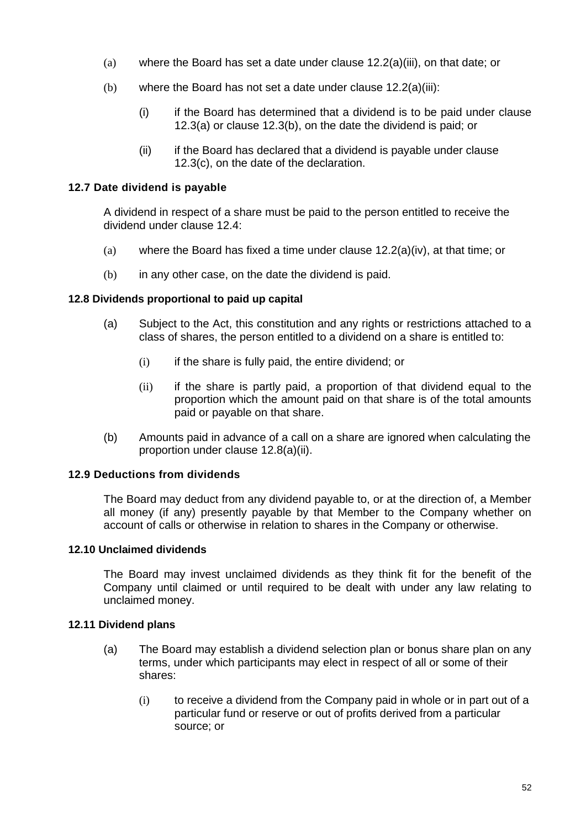- (a) where the Board has set a date under clause 12.2(a)(iii), on that date; or
- (b) where the Board has not set a date under clause 12.2(a)(iii):
	- (i) if the Board has determined that a dividend is to be paid under clause 12.3(a) or clause 12.3(b), on the date the dividend is paid; or
	- (ii) if the Board has declared that a dividend is payable under clause 12.3(c), on the date of the declaration.

#### **12.7 Date dividend is payable**

A dividend in respect of a share must be paid to the person entitled to receive the dividend under clause 12.4:

- (a) where the Board has fixed a time under clause 12.2(a)(iv), at that time; or
- (b) in any other case, on the date the dividend is paid.

# **12.8 Dividends proportional to paid up capital**

- (a) Subject to the Act, this constitution and any rights or restrictions attached to a class of shares, the person entitled to a dividend on a share is entitled to:
	- $(i)$  if the share is fully paid, the entire dividend; or
	- (ii) if the share is partly paid, a proportion of that dividend equal to the proportion which the amount paid on that share is of the total amounts paid or payable on that share.
- (b) Amounts paid in advance of a call on a share are ignored when calculating the proportion under clause 12.8(a)(ii).

# **12.9 Deductions from dividends**

The Board may deduct from any dividend payable to, or at the direction of, a Member all money (if any) presently payable by that Member to the Company whether on account of calls or otherwise in relation to shares in the Company or otherwise.

#### **12.10 Unclaimed dividends**

The Board may invest unclaimed dividends as they think fit for the benefit of the Company until claimed or until required to be dealt with under any law relating to unclaimed money.

#### **12.11 Dividend plans**

- (a) The Board may establish a dividend selection plan or bonus share plan on any terms, under which participants may elect in respect of all or some of their shares:
	- (i) to receive a dividend from the Company paid in whole or in part out of a particular fund or reserve or out of profits derived from a particular source; or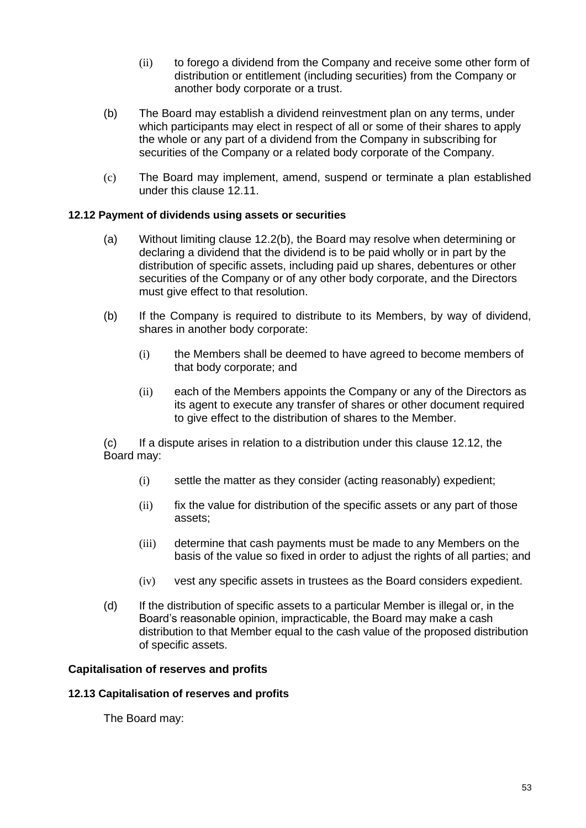- (ii) to forego a dividend from the Company and receive some other form of distribution or entitlement (including securities) from the Company or another body corporate or a trust.
- (b) The Board may establish a dividend reinvestment plan on any terms, under which participants may elect in respect of all or some of their shares to apply the whole or any part of a dividend from the Company in subscribing for securities of the Company or a related body corporate of the Company.
- (c) The Board may implement, amend, suspend or terminate a plan established under this clause 12.11.

# **12.12 Payment of dividends using assets or securities**

- (a) Without limiting clause 12.2(b), the Board may resolve when determining or declaring a dividend that the dividend is to be paid wholly or in part by the distribution of specific assets, including paid up shares, debentures or other securities of the Company or of any other body corporate, and the Directors must give effect to that resolution.
- (b) If the Company is required to distribute to its Members, by way of dividend, shares in another body corporate:
	- (i) the Members shall be deemed to have agreed to become members of that body corporate; and
	- (ii) each of the Members appoints the Company or any of the Directors as its agent to execute any transfer of shares or other document required to give effect to the distribution of shares to the Member.

(c) If a dispute arises in relation to a distribution under this clause 12.12, the Board may:

- (i) settle the matter as they consider (acting reasonably) expedient;
- (ii) fix the value for distribution of the specific assets or any part of those assets;
- (iii) determine that cash payments must be made to any Members on the basis of the value so fixed in order to adjust the rights of all parties; and
- (iv) vest any specific assets in trustees as the Board considers expedient.
- (d) If the distribution of specific assets to a particular Member is illegal or, in the Board's reasonable opinion, impracticable, the Board may make a cash distribution to that Member equal to the cash value of the proposed distribution of specific assets.

#### **Capitalisation of reserves and profits**

#### **12.13 Capitalisation of reserves and profits**

The Board may: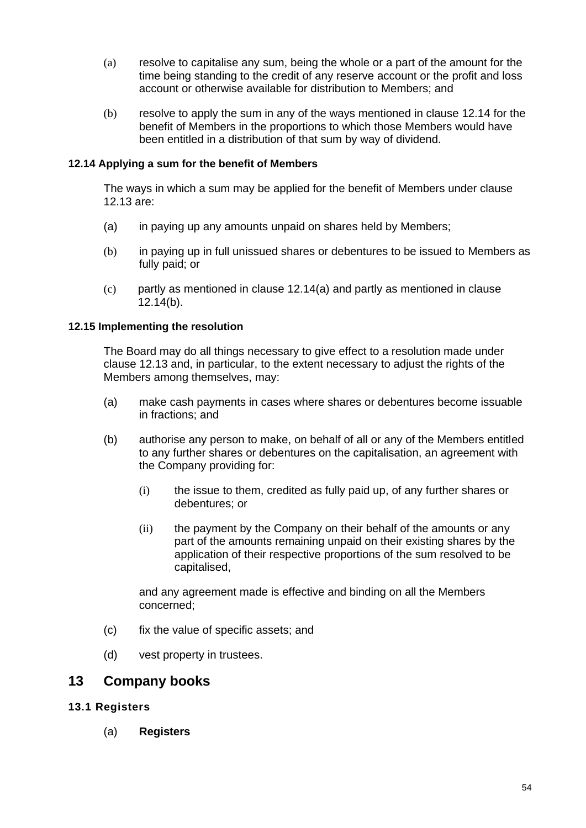- (a) resolve to capitalise any sum, being the whole or a part of the amount for the time being standing to the credit of any reserve account or the profit and loss account or otherwise available for distribution to Members; and
- (b) resolve to apply the sum in any of the ways mentioned in clause 12.14 for the benefit of Members in the proportions to which those Members would have been entitled in a distribution of that sum by way of dividend.

# **12.14 Applying a sum for the benefit of Members**

The ways in which a sum may be applied for the benefit of Members under clause 12.13 are:

- (a) in paying up any amounts unpaid on shares held by Members;
- (b) in paying up in full unissued shares or debentures to be issued to Members as fully paid; or
- (c) partly as mentioned in clause 12.14(a) and partly as mentioned in clause 12.14(b).

#### **12.15 Implementing the resolution**

The Board may do all things necessary to give effect to a resolution made under clause 12.13 and, in particular, to the extent necessary to adjust the rights of the Members among themselves, may:

- (a) make cash payments in cases where shares or debentures become issuable in fractions; and
- (b) authorise any person to make, on behalf of all or any of the Members entitled to any further shares or debentures on the capitalisation, an agreement with the Company providing for:
	- (i) the issue to them, credited as fully paid up, of any further shares or debentures; or
	- (ii) the payment by the Company on their behalf of the amounts or any part of the amounts remaining unpaid on their existing shares by the application of their respective proportions of the sum resolved to be capitalised,

and any agreement made is effective and binding on all the Members concerned;

- (c) fix the value of specific assets; and
- (d) vest property in trustees.

# **13 Company books**

#### **13.1 Registers**

(a) **Registers**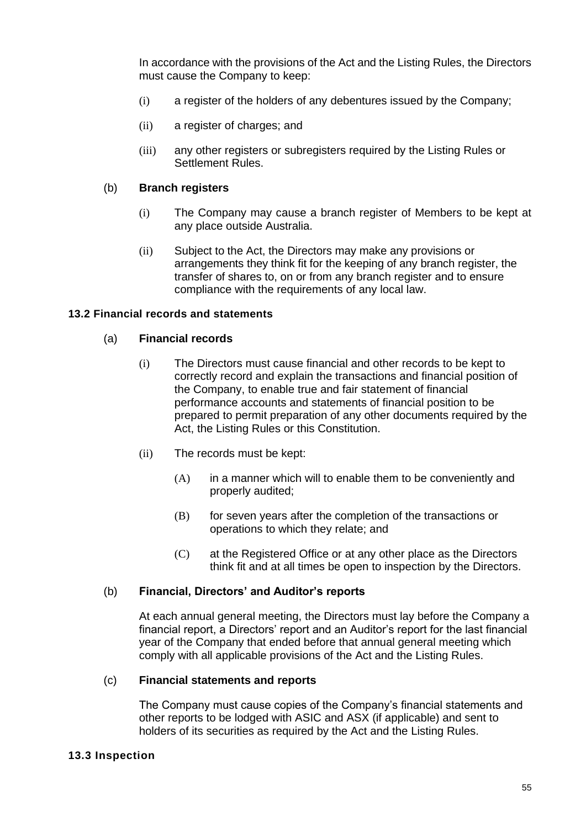In accordance with the provisions of the Act and the Listing Rules, the Directors must cause the Company to keep:

- (i) a register of the holders of any debentures issued by the Company;
- (ii) a register of charges; and
- (iii) any other registers or subregisters required by the Listing Rules or Settlement Rules.

#### (b) **Branch registers**

- (i) The Company may cause a branch register of Members to be kept at any place outside Australia.
- (ii) Subject to the Act, the Directors may make any provisions or arrangements they think fit for the keeping of any branch register, the transfer of shares to, on or from any branch register and to ensure compliance with the requirements of any local law.

#### **13.2 Financial records and statements**

#### (a) **Financial records**

- (i) The Directors must cause financial and other records to be kept to correctly record and explain the transactions and financial position of the Company, to enable true and fair statement of financial performance accounts and statements of financial position to be prepared to permit preparation of any other documents required by the Act, the Listing Rules or this Constitution.
- (ii) The records must be kept:
	- (A) in a manner which will to enable them to be conveniently and properly audited;
	- (B) for seven years after the completion of the transactions or operations to which they relate; and
	- (C) at the Registered Office or at any other place as the Directors think fit and at all times be open to inspection by the Directors.

#### (b) **Financial, Directors' and Auditor's reports**

At each annual general meeting, the Directors must lay before the Company a financial report, a Directors' report and an Auditor's report for the last financial year of the Company that ended before that annual general meeting which comply with all applicable provisions of the Act and the Listing Rules.

#### (c) **Financial statements and reports**

The Company must cause copies of the Company's financial statements and other reports to be lodged with ASIC and ASX (if applicable) and sent to holders of its securities as required by the Act and the Listing Rules.

#### **13.3 Inspection**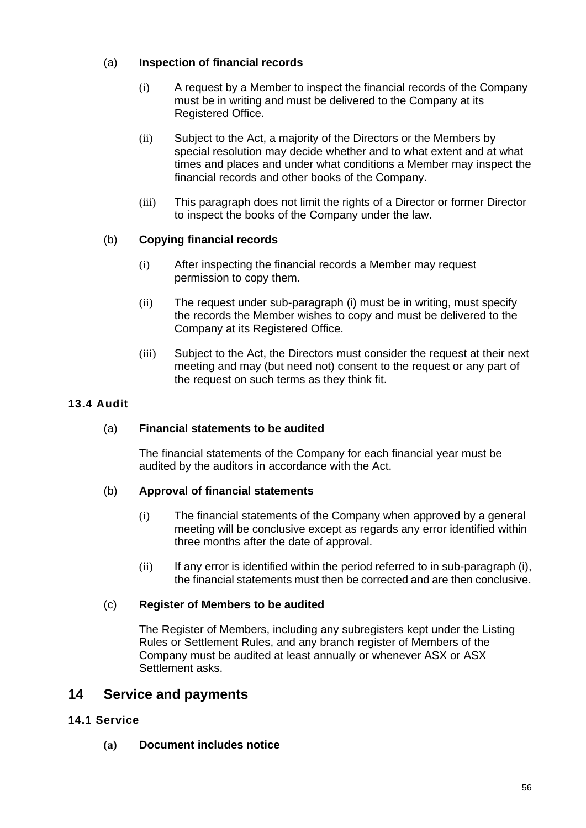# (a) **Inspection of financial records**

- (i) A request by a Member to inspect the financial records of the Company must be in writing and must be delivered to the Company at its Registered Office.
- (ii) Subject to the Act, a majority of the Directors or the Members by special resolution may decide whether and to what extent and at what times and places and under what conditions a Member may inspect the financial records and other books of the Company.
- (iii) This paragraph does not limit the rights of a Director or former Director to inspect the books of the Company under the law.

# (b) **Copying financial records**

- (i) After inspecting the financial records a Member may request permission to copy them.
- (ii) The request under sub-paragraph (i) must be in writing, must specify the records the Member wishes to copy and must be delivered to the Company at its Registered Office.
- (iii) Subject to the Act, the Directors must consider the request at their next meeting and may (but need not) consent to the request or any part of the request on such terms as they think fit.

# **13.4 Audit**

# (a) **Financial statements to be audited**

The financial statements of the Company for each financial year must be audited by the auditors in accordance with the Act.

# (b) **Approval of financial statements**

- (i) The financial statements of the Company when approved by a general meeting will be conclusive except as regards any error identified within three months after the date of approval.
- (ii) If any error is identified within the period referred to in sub-paragraph (i), the financial statements must then be corrected and are then conclusive.

# (c) **Register of Members to be audited**

The Register of Members, including any subregisters kept under the Listing Rules or Settlement Rules, and any branch register of Members of the Company must be audited at least annually or whenever ASX or ASX Settlement asks.

# **14 Service and payments**

# **14.1 Service**

**(a) Document includes notice**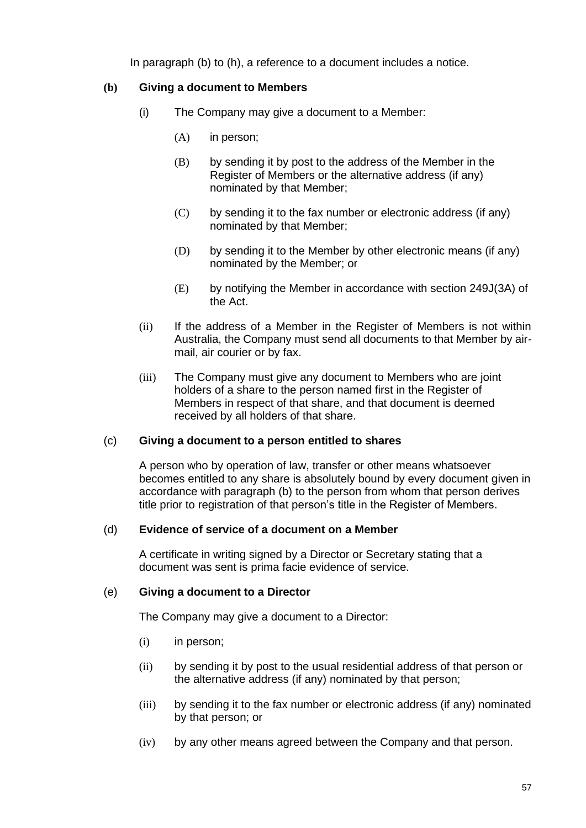In paragraph (b) to (h), a reference to a document includes a notice.

# **(b) Giving a document to Members**

- (i) The Company may give a document to a Member:
	- (A) in person;
	- (B) by sending it by post to the address of the Member in the Register of Members or the alternative address (if any) nominated by that Member;
	- (C) by sending it to the fax number or electronic address (if any) nominated by that Member;
	- (D) by sending it to the Member by other electronic means (if any) nominated by the Member; or
	- (E) by notifying the Member in accordance with section 249J(3A) of the Act.
- (ii) If the address of a Member in the Register of Members is not within Australia, the Company must send all documents to that Member by airmail, air courier or by fax.
- (iii) The Company must give any document to Members who are joint holders of a share to the person named first in the Register of Members in respect of that share, and that document is deemed received by all holders of that share.

#### (c) **Giving a document to a person entitled to shares**

A person who by operation of law, transfer or other means whatsoever becomes entitled to any share is absolutely bound by every document given in accordance with paragraph (b) to the person from whom that person derives title prior to registration of that person's title in the Register of Members.

#### (d) **Evidence of service of a document on a Member**

A certificate in writing signed by a Director or Secretary stating that a document was sent is prima facie evidence of service.

#### (e) **Giving a document to a Director**

The Company may give a document to a Director:

- (i) in person;
- (ii) by sending it by post to the usual residential address of that person or the alternative address (if any) nominated by that person;
- (iii) by sending it to the fax number or electronic address (if any) nominated by that person; or
- (iv) by any other means agreed between the Company and that person.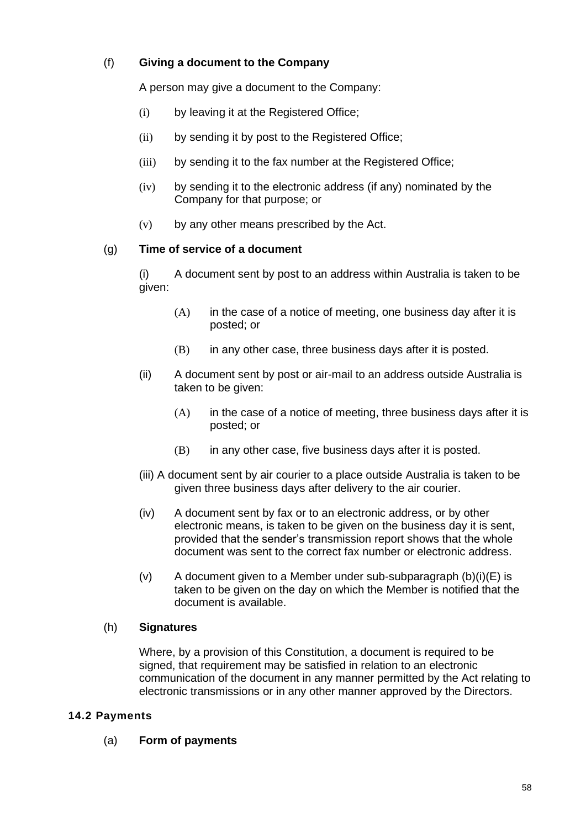# (f) **Giving a document to the Company**

A person may give a document to the Company:

- (i) by leaving it at the Registered Office;
- (ii) by sending it by post to the Registered Office;
- (iii) by sending it to the fax number at the Registered Office;
- (iv) by sending it to the electronic address (if any) nominated by the Company for that purpose; or
- (v) by any other means prescribed by the Act.

# (g) **Time of service of a document**

(i) A document sent by post to an address within Australia is taken to be given:

- $(A)$  in the case of a notice of meeting, one business day after it is posted; or
- $(B)$  in any other case, three business days after it is posted.
- (ii) A document sent by post or air-mail to an address outside Australia is taken to be given:
	- (A) in the case of a notice of meeting, three business days after it is posted; or
	- $(B)$  in any other case, five business days after it is posted.
- (iii) A document sent by air courier to a place outside Australia is taken to be given three business days after delivery to the air courier.
- (iv) A document sent by fax or to an electronic address, or by other electronic means, is taken to be given on the business day it is sent, provided that the sender's transmission report shows that the whole document was sent to the correct fax number or electronic address.
- (v) A document given to a Member under sub-subparagraph  $(b)(i)(E)$  is taken to be given on the day on which the Member is notified that the document is available.

# (h) **Signatures**

Where, by a provision of this Constitution, a document is required to be signed, that requirement may be satisfied in relation to an electronic communication of the document in any manner permitted by the Act relating to electronic transmissions or in any other manner approved by the Directors.

# **14.2 Payments**

(a) **Form of payments**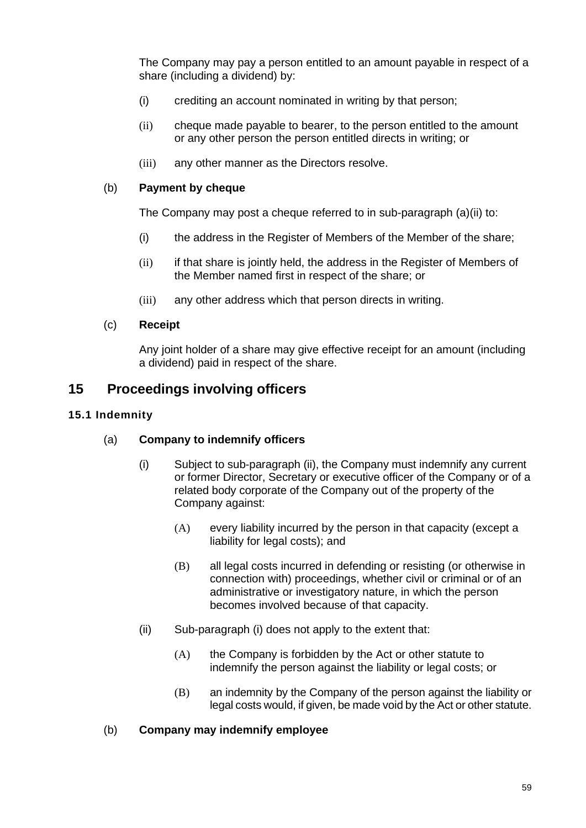The Company may pay a person entitled to an amount payable in respect of a share (including a dividend) by:

- (i) crediting an account nominated in writing by that person;
- (ii) cheque made payable to bearer, to the person entitled to the amount or any other person the person entitled directs in writing; or
- (iii) any other manner as the Directors resolve.

# (b) **Payment by cheque**

The Company may post a cheque referred to in sub-paragraph (a)(ii) to:

- (i) the address in the Register of Members of the Member of the share;
- (ii) if that share is jointly held, the address in the Register of Members of the Member named first in respect of the share; or
- (iii) any other address which that person directs in writing.

# (c) **Receipt**

Any joint holder of a share may give effective receipt for an amount (including a dividend) paid in respect of the share.

# **15 Proceedings involving officers**

# **15.1 Indemnity**

# (a) **Company to indemnify officers**

- (i) Subject to sub-paragraph (ii), the Company must indemnify any current or former Director, Secretary or executive officer of the Company or of a related body corporate of the Company out of the property of the Company against:
	- (A) every liability incurred by the person in that capacity (except a liability for legal costs); and
	- (B) all legal costs incurred in defending or resisting (or otherwise in connection with) proceedings, whether civil or criminal or of an administrative or investigatory nature, in which the person becomes involved because of that capacity.
- (ii) Sub-paragraph (i) does not apply to the extent that:
	- (A) the Company is forbidden by the Act or other statute to indemnify the person against the liability or legal costs; or
	- (B) an indemnity by the Company of the person against the liability or legal costs would, if given, be made void by the Act or other statute.

#### (b) **Company may indemnify employee**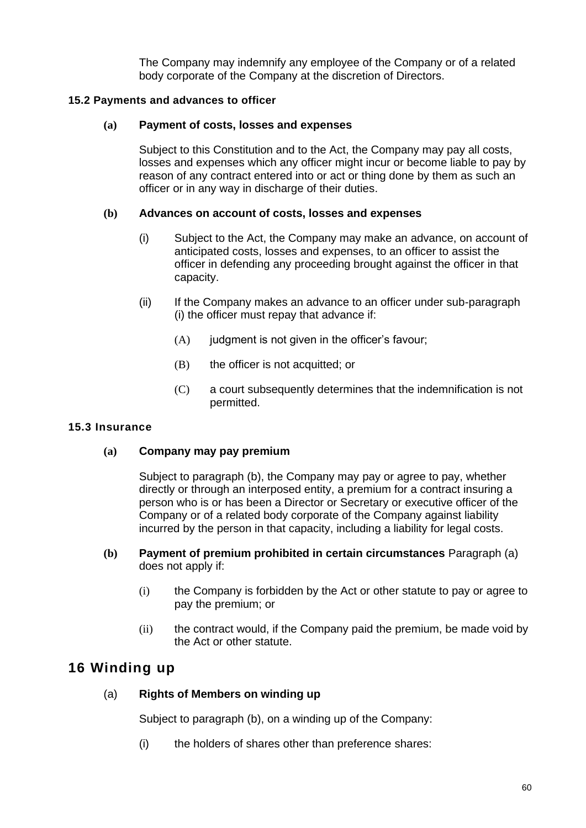The Company may indemnify any employee of the Company or of a related body corporate of the Company at the discretion of Directors.

# **15.2 Payments and advances to officer**

# **(a) Payment of costs, losses and expenses**

Subject to this Constitution and to the Act, the Company may pay all costs, losses and expenses which any officer might incur or become liable to pay by reason of any contract entered into or act or thing done by them as such an officer or in any way in discharge of their duties.

# **(b) Advances on account of costs, losses and expenses**

- (i) Subject to the Act, the Company may make an advance, on account of anticipated costs, losses and expenses, to an officer to assist the officer in defending any proceeding brought against the officer in that capacity.
- (ii) If the Company makes an advance to an officer under sub-paragraph (i) the officer must repay that advance if:
	- $(A)$  judgment is not given in the officer's favour;
	- (B) the officer is not acquitted; or
	- (C) a court subsequently determines that the indemnification is not permitted.

#### **15.3 Insurance**

#### **(a) Company may pay premium**

Subject to paragraph (b), the Company may pay or agree to pay, whether directly or through an interposed entity, a premium for a contract insuring a person who is or has been a Director or Secretary or executive officer of the Company or of a related body corporate of the Company against liability incurred by the person in that capacity, including a liability for legal costs.

- **(b) Payment of premium prohibited in certain circumstances** Paragraph (a) does not apply if:
	- (i) the Company is forbidden by the Act or other statute to pay or agree to pay the premium; or
	- (ii) the contract would, if the Company paid the premium, be made void by the Act or other statute.

# **16 Winding up**

# (a) **Rights of Members on winding up**

Subject to paragraph (b), on a winding up of the Company:

(i) the holders of shares other than preference shares: